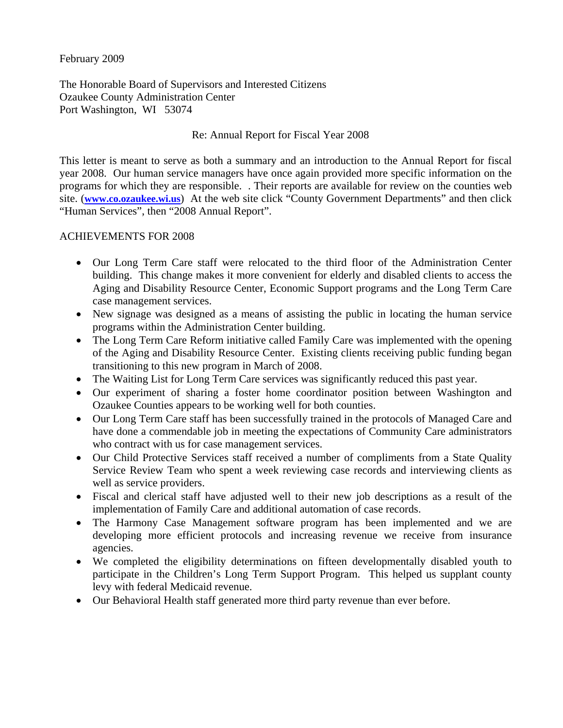February 2009

The Honorable Board of Supervisors and Interested Citizens Ozaukee County Administration Center Port Washington, WI 53074

#### Re: Annual Report for Fiscal Year 2008

This letter is meant to serve as both a summary and an introduction to the Annual Report for fiscal year 2008. Our human service managers have once again provided more specific information on the programs for which they are responsible. . Their reports are available for review on the counties web site. (**www.co.ozaukee.wi.us**) At the web site click "County Government Departments" and then click "Human Services", then "2008 Annual Report".

#### ACHIEVEMENTS FOR 2008

- Our Long Term Care staff were relocated to the third floor of the Administration Center building. This change makes it more convenient for elderly and disabled clients to access the Aging and Disability Resource Center, Economic Support programs and the Long Term Care case management services.
- New signage was designed as a means of assisting the public in locating the human service programs within the Administration Center building.
- The Long Term Care Reform initiative called Family Care was implemented with the opening of the Aging and Disability Resource Center. Existing clients receiving public funding began transitioning to this new program in March of 2008.
- The Waiting List for Long Term Care services was significantly reduced this past year.
- Our experiment of sharing a foster home coordinator position between Washington and Ozaukee Counties appears to be working well for both counties.
- Our Long Term Care staff has been successfully trained in the protocols of Managed Care and have done a commendable job in meeting the expectations of Community Care administrators who contract with us for case management services.
- Our Child Protective Services staff received a number of compliments from a State Quality Service Review Team who spent a week reviewing case records and interviewing clients as well as service providers.
- Fiscal and clerical staff have adjusted well to their new job descriptions as a result of the implementation of Family Care and additional automation of case records.
- The Harmony Case Management software program has been implemented and we are developing more efficient protocols and increasing revenue we receive from insurance agencies.
- We completed the eligibility determinations on fifteen developmentally disabled youth to participate in the Children's Long Term Support Program. This helped us supplant county levy with federal Medicaid revenue.
- Our Behavioral Health staff generated more third party revenue than ever before.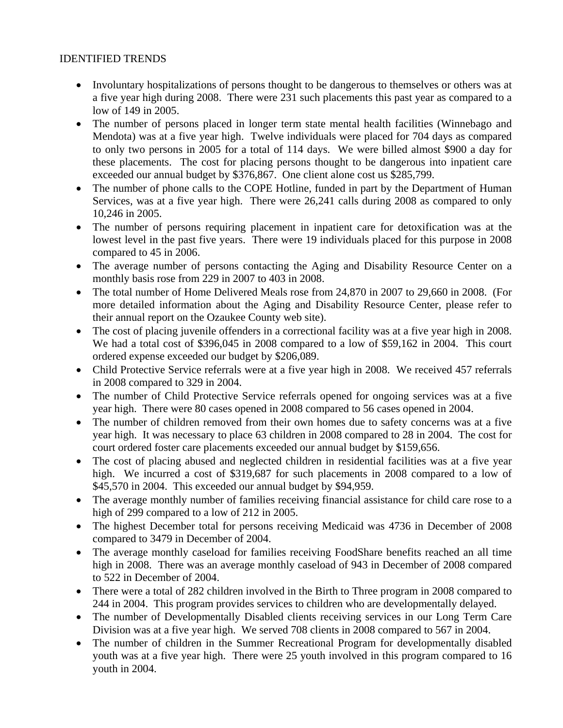# IDENTIFIED TRENDS

- Involuntary hospitalizations of persons thought to be dangerous to themselves or others was at a five year high during 2008. There were 231 such placements this past year as compared to a low of 149 in 2005.
- The number of persons placed in longer term state mental health facilities (Winnebago and Mendota) was at a five year high. Twelve individuals were placed for 704 days as compared to only two persons in 2005 for a total of 114 days. We were billed almost \$900 a day for these placements. The cost for placing persons thought to be dangerous into inpatient care exceeded our annual budget by \$376,867. One client alone cost us \$285,799.
- The number of phone calls to the COPE Hotline, funded in part by the Department of Human Services, was at a five year high. There were 26,241 calls during 2008 as compared to only 10,246 in 2005.
- The number of persons requiring placement in inpatient care for detoxification was at the lowest level in the past five years. There were 19 individuals placed for this purpose in 2008 compared to 45 in 2006.
- The average number of persons contacting the Aging and Disability Resource Center on a monthly basis rose from 229 in 2007 to 403 in 2008.
- The total number of Home Delivered Meals rose from 24,870 in 2007 to 29,660 in 2008. (For more detailed information about the Aging and Disability Resource Center, please refer to their annual report on the Ozaukee County web site).
- The cost of placing juvenile offenders in a correctional facility was at a five year high in 2008. We had a total cost of \$396,045 in 2008 compared to a low of \$59,162 in 2004. This court ordered expense exceeded our budget by \$206,089.
- Child Protective Service referrals were at a five year high in 2008. We received 457 referrals in 2008 compared to 329 in 2004.
- The number of Child Protective Service referrals opened for ongoing services was at a five year high. There were 80 cases opened in 2008 compared to 56 cases opened in 2004.
- The number of children removed from their own homes due to safety concerns was at a five year high. It was necessary to place 63 children in 2008 compared to 28 in 2004. The cost for court ordered foster care placements exceeded our annual budget by \$159,656.
- The cost of placing abused and neglected children in residential facilities was at a five year high. We incurred a cost of \$319,687 for such placements in 2008 compared to a low of \$45,570 in 2004. This exceeded our annual budget by \$94,959.
- The average monthly number of families receiving financial assistance for child care rose to a high of 299 compared to a low of 212 in 2005.
- The highest December total for persons receiving Medicaid was 4736 in December of 2008 compared to 3479 in December of 2004.
- The average monthly caseload for families receiving FoodShare benefits reached an all time high in 2008. There was an average monthly caseload of 943 in December of 2008 compared to 522 in December of 2004.
- There were a total of 282 children involved in the Birth to Three program in 2008 compared to 244 in 2004. This program provides services to children who are developmentally delayed.
- The number of Developmentally Disabled clients receiving services in our Long Term Care Division was at a five year high. We served 708 clients in 2008 compared to 567 in 2004.
- The number of children in the Summer Recreational Program for developmentally disabled youth was at a five year high. There were 25 youth involved in this program compared to 16 youth in 2004.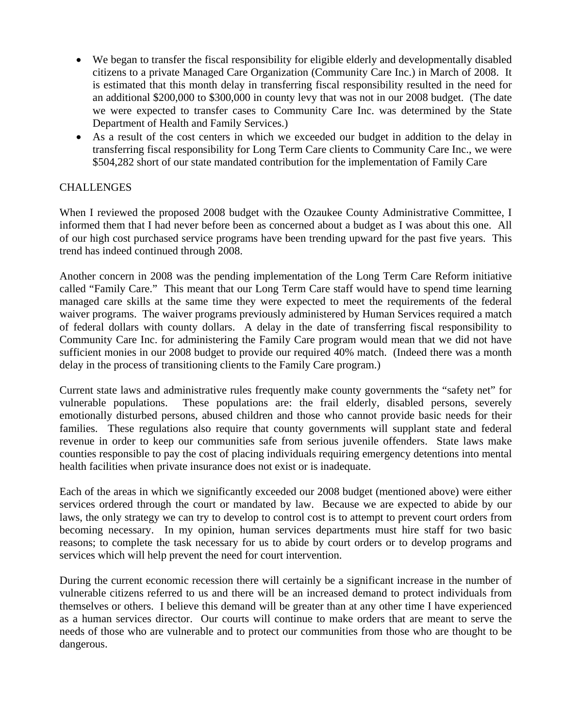- We began to transfer the fiscal responsibility for eligible elderly and developmentally disabled citizens to a private Managed Care Organization (Community Care Inc.) in March of 2008. It is estimated that this month delay in transferring fiscal responsibility resulted in the need for an additional \$200,000 to \$300,000 in county levy that was not in our 2008 budget. (The date we were expected to transfer cases to Community Care Inc. was determined by the State Department of Health and Family Services.)
- As a result of the cost centers in which we exceeded our budget in addition to the delay in transferring fiscal responsibility for Long Term Care clients to Community Care Inc., we were \$504,282 short of our state mandated contribution for the implementation of Family Care

# **CHALLENGES**

When I reviewed the proposed 2008 budget with the Ozaukee County Administrative Committee, I informed them that I had never before been as concerned about a budget as I was about this one. All of our high cost purchased service programs have been trending upward for the past five years. This trend has indeed continued through 2008.

Another concern in 2008 was the pending implementation of the Long Term Care Reform initiative called "Family Care." This meant that our Long Term Care staff would have to spend time learning managed care skills at the same time they were expected to meet the requirements of the federal waiver programs. The waiver programs previously administered by Human Services required a match of federal dollars with county dollars. A delay in the date of transferring fiscal responsibility to Community Care Inc. for administering the Family Care program would mean that we did not have sufficient monies in our 2008 budget to provide our required 40% match. (Indeed there was a month delay in the process of transitioning clients to the Family Care program.)

Current state laws and administrative rules frequently make county governments the "safety net" for vulnerable populations. These populations are: the frail elderly, disabled persons, severely emotionally disturbed persons, abused children and those who cannot provide basic needs for their families. These regulations also require that county governments will supplant state and federal revenue in order to keep our communities safe from serious juvenile offenders. State laws make counties responsible to pay the cost of placing individuals requiring emergency detentions into mental health facilities when private insurance does not exist or is inadequate.

Each of the areas in which we significantly exceeded our 2008 budget (mentioned above) were either services ordered through the court or mandated by law. Because we are expected to abide by our laws, the only strategy we can try to develop to control cost is to attempt to prevent court orders from becoming necessary. In my opinion, human services departments must hire staff for two basic reasons; to complete the task necessary for us to abide by court orders or to develop programs and services which will help prevent the need for court intervention.

During the current economic recession there will certainly be a significant increase in the number of vulnerable citizens referred to us and there will be an increased demand to protect individuals from themselves or others. I believe this demand will be greater than at any other time I have experienced as a human services director. Our courts will continue to make orders that are meant to serve the needs of those who are vulnerable and to protect our communities from those who are thought to be dangerous.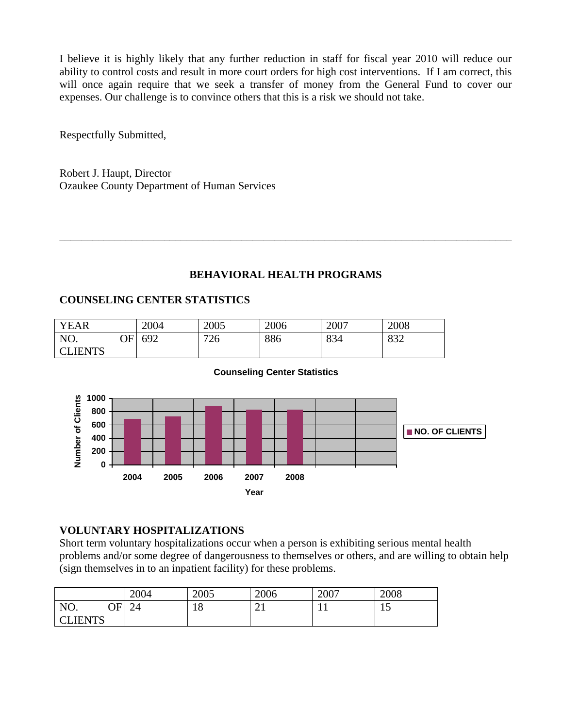I believe it is highly likely that any further reduction in staff for fiscal year 2010 will reduce our ability to control costs and result in more court orders for high cost interventions. If I am correct, this will once again require that we seek a transfer of money from the General Fund to cover our expenses. Our challenge is to convince others that this is a risk we should not take.

Respectfully Submitted,

Robert J. Haupt, Director Ozaukee County Department of Human Services

# **BEHAVIORAL HEALTH PROGRAMS**

\_\_\_\_\_\_\_\_\_\_\_\_\_\_\_\_\_\_\_\_\_\_\_\_\_\_\_\_\_\_\_\_\_\_\_\_\_\_\_\_\_\_\_\_\_\_\_\_\_\_\_\_\_\_\_\_\_\_\_\_\_\_\_\_\_\_\_\_\_\_\_\_\_\_\_\_\_\_\_\_\_\_

# **COUNSELING CENTER STATISTICS**

| <b>YEAR</b>              |    | 2004 | 2005 | 2006 | 2007 | 2008       |
|--------------------------|----|------|------|------|------|------------|
| NO.                      | ЛF | 692  | 726  | 886  | 834  | റാറ<br>032 |
| <b>LLIENTS</b><br>$\cap$ |    |      |      |      |      |            |



#### **Counseling Center Statistics**

# **VOLUNTARY HOSPITALIZATIONS**

Short term voluntary hospitalizations occur when a person is exhibiting serious mental health problems and/or some degree of dangerousness to themselves or others, and are willing to obtain help (sign themselves in to an inpatient facility) for these problems.

|                         | 2004 | 2005 | 2006      | 2007 | 2008 |
|-------------------------|------|------|-----------|------|------|
| ОF<br>NO.               | 24   | 18   | ⌒ 1<br>∠⊥ | . .  | ⊥J   |
| <b>CLIENTS</b><br>1 L D |      |      |           |      |      |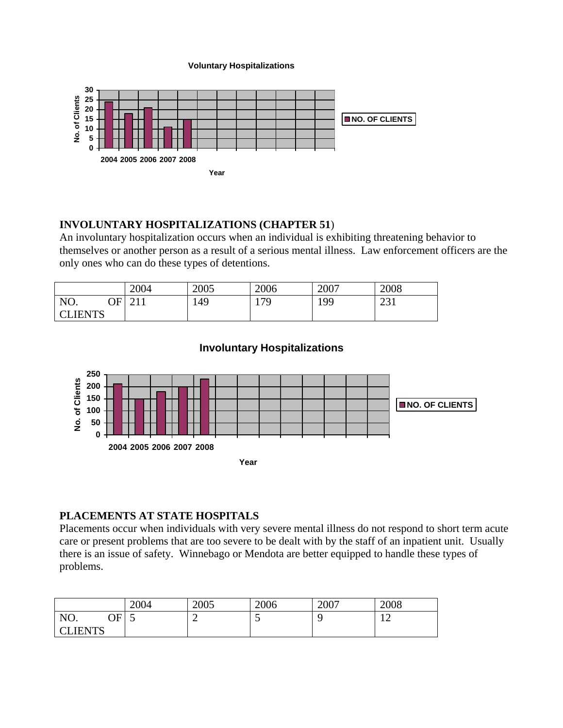**Voluntary Hospitalizations**



# **INVOLUNTARY HOSPITALIZATIONS (CHAPTER 51**)

An involuntary hospitalization occurs when an individual is exhibiting threatening behavior to themselves or another person as a result of a serious mental illness. Law enforcement officers are the only ones who can do these types of detentions.

|                | 2004                   | 2005 | 2006 | 2007 | 2008          |
|----------------|------------------------|------|------|------|---------------|
| NO.<br>∩F<br>w | $\bigcap$ 1 1<br>4 L L | 149  | 17Q  | 199  | 231<br>ا ل سے |
| <b>CLIENTS</b> |                        |      |      |      |               |

# **Involuntary Hospitalizations**



# **PLACEMENTS AT STATE HOSPITALS**

Placements occur when individuals with very severe mental illness do not respond to short term acute care or present problems that are too severe to be dealt with by the staff of an inpatient unit. Usually there is an issue of safety. Winnebago or Mendota are better equipped to handle these types of problems.

|                          | 2004 | 2005   | 2006 | 2007 | 2008 |
|--------------------------|------|--------|------|------|------|
| NO.<br>$\mathop{\rm OF}$ | ັ    | -<br>_ | ັ    |      | c    |
| <b>CLIENTS</b>           |      |        |      |      |      |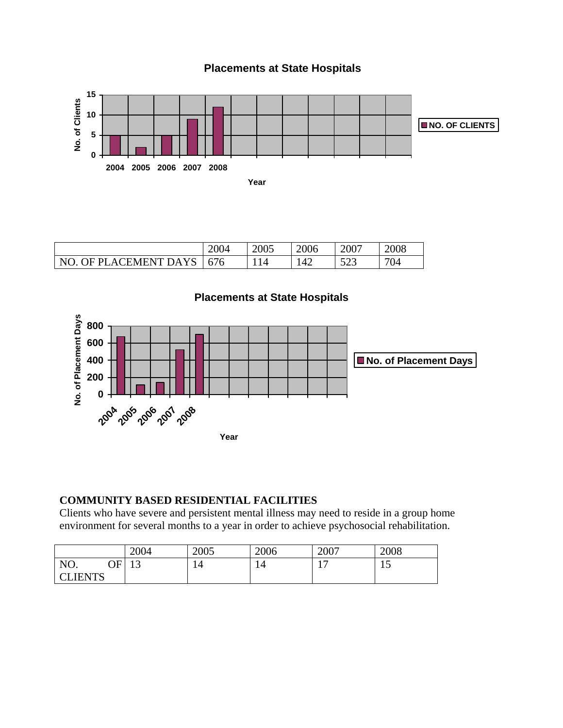

# **Placements at State Hospitals**

|                       | 2004 | 2005 | 2006 | 2007        | 2008 |
|-----------------------|------|------|------|-------------|------|
| NO. OF PLACEMENT DAYS | 676  | 14   | 142  | 503<br>ل∟∠ل | 704  |



# **COMMUNITY BASED RESIDENTIAL FACILITIES**

Clients who have severe and persistent mental illness may need to reside in a group home environment for several months to a year in order to achieve psychosocial rehabilitation.

|              | 2004                 | 2005 | 2006 | 2007                  | 2008 |
|--------------|----------------------|------|------|-----------------------|------|
| NO.<br>OF I  | 1 <sub>2</sub><br>⊥ၪ | 14   | 14   | 1 <sub>7</sub><br>. . | ⊥ັ   |
| <b>IFNTS</b> |                      |      |      |                       |      |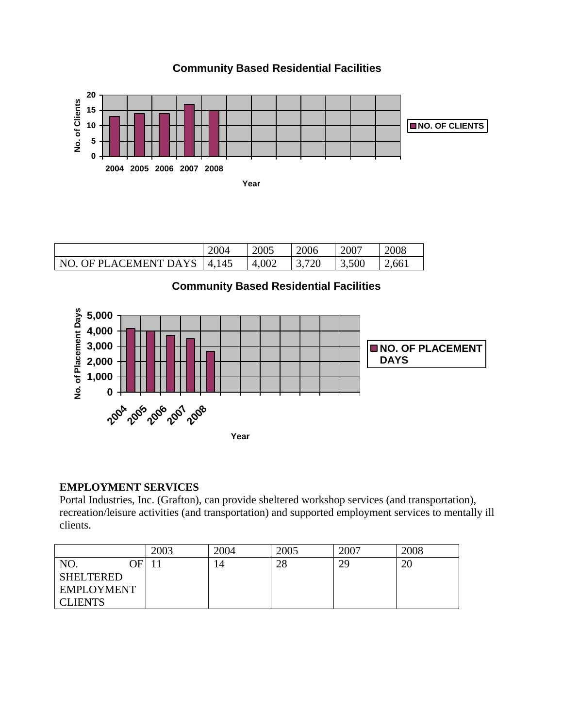

**Community Based Residential Facilities**

|                       | 2004  | 2005  | 2006 | 2007  | 2008 |
|-----------------------|-------|-------|------|-------|------|
| NO. OF PLACEMENT DAYS | 4,145 | 4,002 | 720  | 3,500 | 661  |

**Community Based Residential Facilities**



# **EMPLOYMENT SERVICES**

Portal Industries, Inc. (Grafton), can provide sheltered workshop services (and transportation), recreation/leisure activities (and transportation) and supported employment services to mentally ill clients.

|                   | 2003 | 2004 | 2005 | 2007 | 2008    |
|-------------------|------|------|------|------|---------|
| NO.<br>∩F.        |      | 14   | 28   | 29   | ി<br>ZU |
| <b>SHELTERED</b>  |      |      |      |      |         |
| <b>EMPLOYMENT</b> |      |      |      |      |         |
| <b>CLIENTS</b>    |      |      |      |      |         |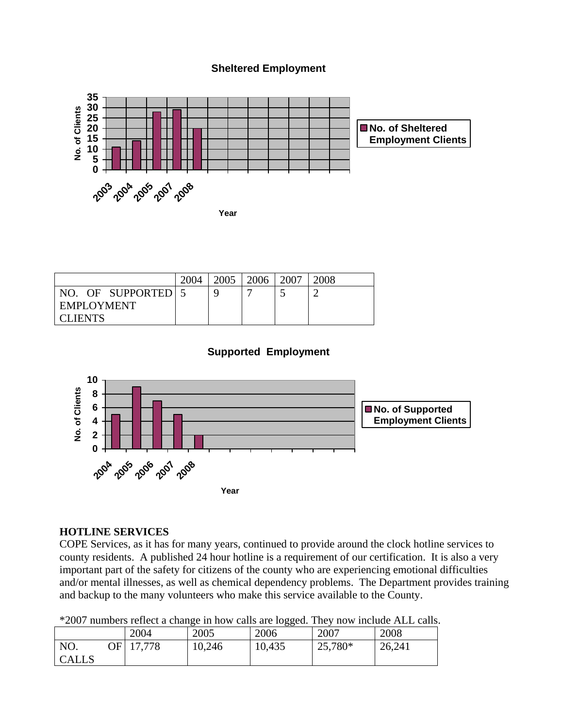#### **Sheltered Employment**



|                  | 2004 | 2005 | 2006 | 2007 | 2008 |
|------------------|------|------|------|------|------|
| NO. OF SUPPORTED |      | Q    |      |      |      |
| EMPLOYMENT       |      |      |      |      |      |
| <b>CLIENTS</b>   |      |      |      |      |      |

# **Supported Employment**



#### **HOTLINE SERVICES**

COPE Services, as it has for many years, continued to provide around the clock hotline services to county residents. A published 24 hour hotline is a requirement of our certification. It is also a very important part of the safety for citizens of the county who are experiencing emotional difficulties and/or mental illnesses, as well as chemical dependency problems. The Department provides training and backup to the many volunteers who make this service available to the County.

| *2007 numbers reflect a change in how calls are logged. They now include ALL calls. |  |  |  |  |
|-------------------------------------------------------------------------------------|--|--|--|--|
|                                                                                     |  |  |  |  |

|                            |        |        | $\sim$ $\sim$ |         |        |
|----------------------------|--------|--------|---------------|---------|--------|
|                            | 2004   | 2005   | 2006          | 2007    | 2008   |
| NO.<br>)F <br><b>CALLS</b> | 17,778 | 10,246 | 10,435        | 25,780* | 26,241 |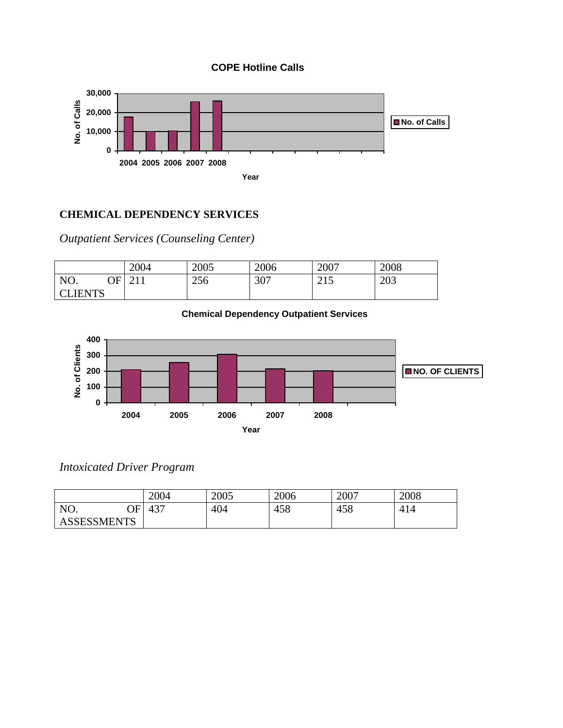



# **CHEMICAL DEPENDENCY SERVICES**

*Outpatient Services (Counseling Center)* 

|                |     | 2004          | 2005 | 2006 | 2007        | 2008 |
|----------------|-----|---------------|------|------|-------------|------|
| NO.            | ЭFІ | $\bigcap$ 1 1 | 256  | 307  | 215<br>ب کے | 203  |
| <b>CLIENTS</b> |     |               |      |      |             |      |





*Intoxicated Driver Program* 

|                    | 2004 | 2005 | 2006 | 2007 | 2008 |
|--------------------|------|------|------|------|------|
| NO.<br>ОF          | 437  | 404  | 458  | 458  | 414  |
| <b>ASSESSMENTS</b> |      |      |      |      |      |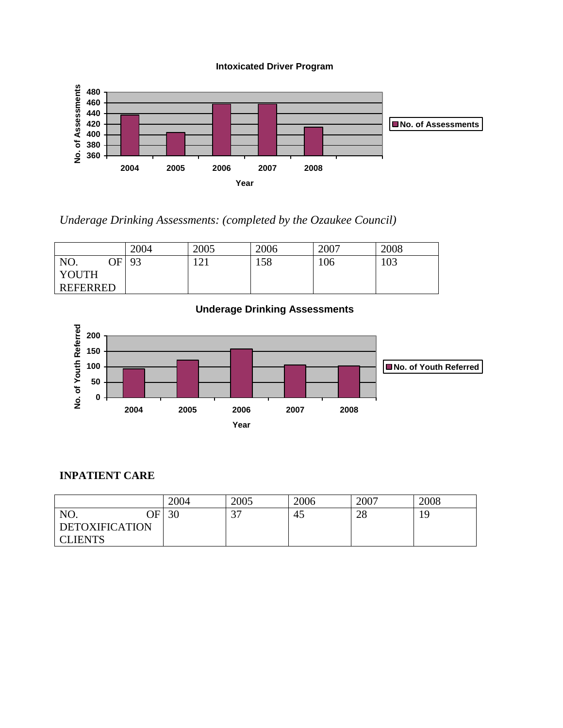



*Underage Drinking Assessments: (completed by the Ozaukee Council)* 

|                 | 2004 | 2005 | 2006 | 2007 | 2008 |
|-----------------|------|------|------|------|------|
| NO.<br>OFI      | 93   | 121  | 158  | 106  | 103  |
| <b>YOUTH</b>    |      |      |      |      |      |
| <b>REFERRED</b> |      |      |      |      |      |



# **INPATIENT CARE**

|                             | 2004 | 2005          | 2006 | 2007 | 2008 |
|-----------------------------|------|---------------|------|------|------|
| NO.<br>$\overline{\rm{OF}}$ | 30   | $\cap$<br>، ب | 45   | 28   | 19   |
| <b>DETOXIFICATION</b>       |      |               |      |      |      |
| <b>CLIENTS</b>              |      |               |      |      |      |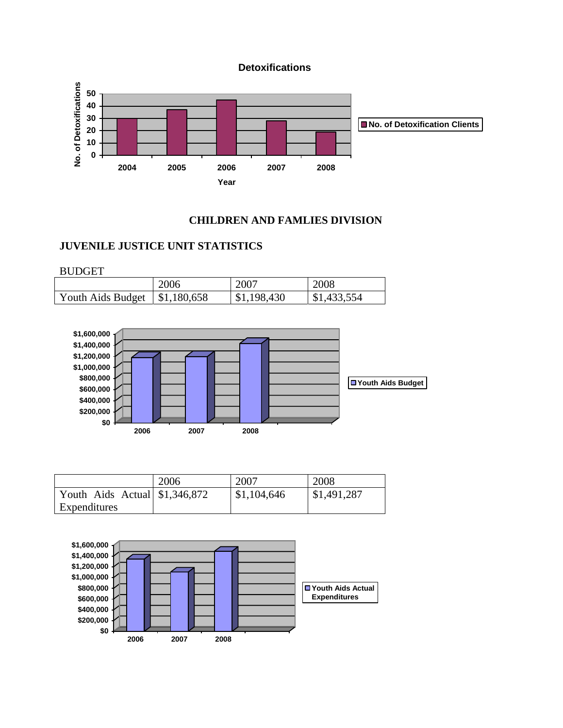**Detoxifications**



#### **CHILDREN AND FAMLIES DIVISION**

# **JUVENILE JUSTICE UNIT STATISTICS**

BUDGET

|                   | 2006                      | 2007        | 2008        |
|-------------------|---------------------------|-------------|-------------|
| Youth Aids Budget | $\frac{1}{2}$ \$1,180,658 | \$1,198,430 | \$1,433,554 |



|                                | 2006 | 2007        | 2008        |
|--------------------------------|------|-------------|-------------|
| Youth Aids Actual $$1,346,872$ |      | \$1,104,646 | \$1,491,287 |
| Expenditures                   |      |             |             |

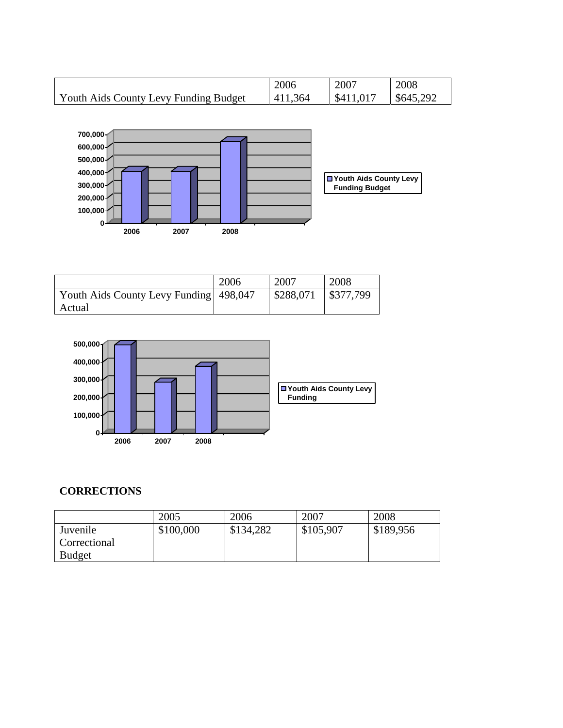|                                       | 2006    | 2007      | 2008      |
|---------------------------------------|---------|-----------|-----------|
| Youth Aids County Levy Funding Budget | 411,364 | \$411,017 | \$645,292 |



|                                        | 2006 | 2007                    | 2008      |
|----------------------------------------|------|-------------------------|-----------|
| Youth Aids County Levy Funding 498,047 |      | $\frac{1}{2}$ \$288,071 | \$377,799 |
| Actual                                 |      |                         |           |



# **CORRECTIONS**

|               | 2005      | 2006      | 2007      | 2008      |
|---------------|-----------|-----------|-----------|-----------|
| Juvenile      | \$100,000 | \$134,282 | \$105,907 | \$189,956 |
| Correctional  |           |           |           |           |
| <b>Budget</b> |           |           |           |           |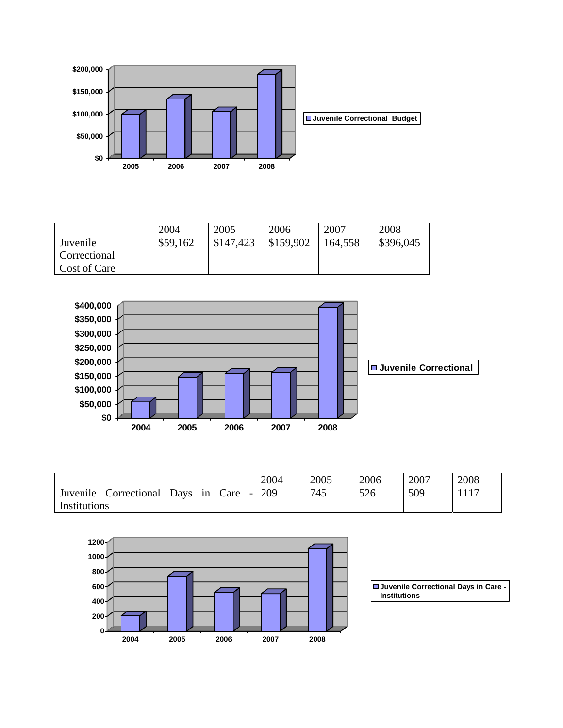

|              | 2004     | 2005      | 2006      | 2007    | 2008      |
|--------------|----------|-----------|-----------|---------|-----------|
| Juvenile     | \$59,162 | \$147,423 | \$159,902 | 164,558 | \$396,045 |
| Correctional |          |           |           |         |           |
| Cost of Care |          |           |           |         |           |



|                                             | 2004 | 2005 | 2006 | 2007 | 2008 |
|---------------------------------------------|------|------|------|------|------|
| Juvenile<br>Care<br>Correctional<br>Days in | 209  | 745  | 526  | 509  |      |
| Institutions                                |      |      |      |      |      |



**Juvenile Correctional Days in Care - Institutions**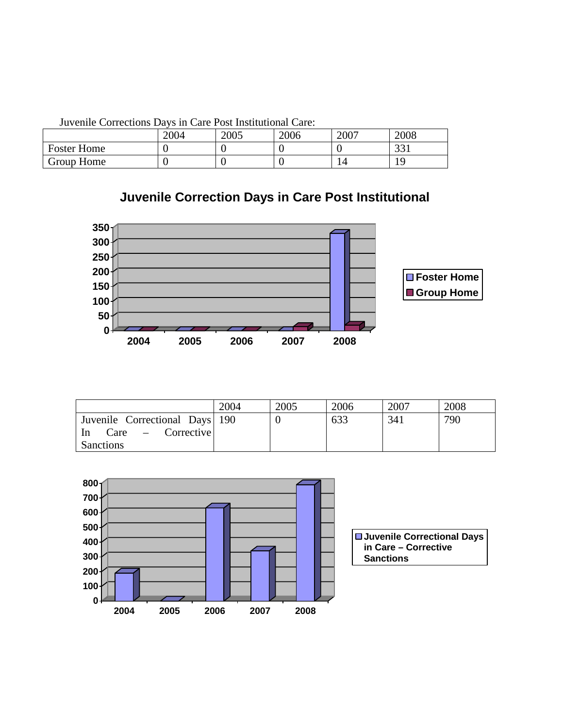|                    | 2004 | 2005 | 2006 | 2007 | 2008 |
|--------------------|------|------|------|------|------|
| <b>Foster Home</b> |      |      |      |      | 221  |
| Group Home         |      |      |      |      |      |

Juvenile Corrections Days in Care Post Institutional Care:

# **Juvenile Correction Days in Care Post Institutional**



|                                                       | 2004 | 2005 | 2006 | 2007 | 2008 |
|-------------------------------------------------------|------|------|------|------|------|
| Juvenile Correctional Days 190<br>$Care$ – Corrective |      |      | 633  | 341  | 790  |
| -In<br><b>Sanctions</b>                               |      |      |      |      |      |

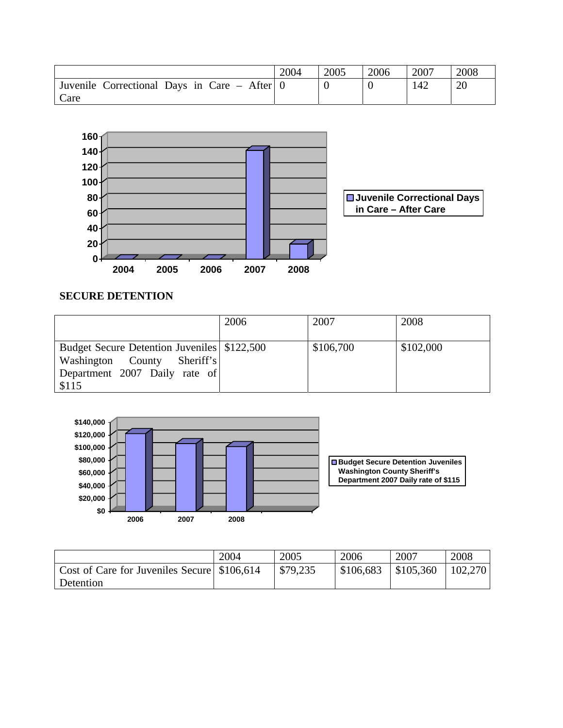|                                              | 2004 | 2005 | 2006 | 2007 | 2008 |
|----------------------------------------------|------|------|------|------|------|
| Juvenile Correctional Days in Care – After 0 |      |      |      | 142  | 20   |
| Care                                         |      |      |      |      |      |



# **SECURE DETENTION**

|                                                                                                                        | 2006 | 2007      | 2008      |
|------------------------------------------------------------------------------------------------------------------------|------|-----------|-----------|
| Budget Secure Detention Juveniles \ \$122,500<br>Washington County Sheriff's<br>Department 2007 Daily rate of<br>\$115 |      | \$106,700 | \$102,000 |



|                                               | 2004 | 2005     | 2006      | 2007                | 2008    |
|-----------------------------------------------|------|----------|-----------|---------------------|---------|
| Cost of Care for Juveniles Secure \ \$106,614 |      | \$79,235 | \$106,683 | $\frac{$105,360}{}$ | 102,270 |
| Detention                                     |      |          |           |                     |         |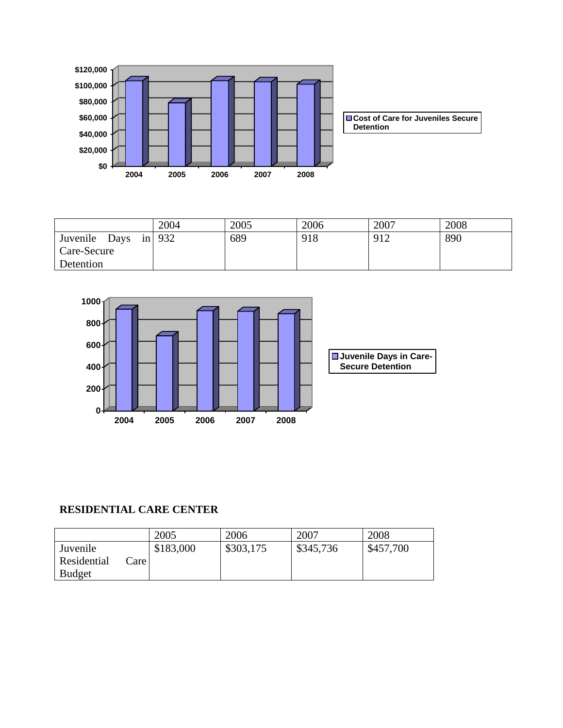

|                  | 2004      | 2005 | 2006 | 2007 | 2008 |
|------------------|-----------|------|------|------|------|
| Juvenile<br>Days | $\ln$ 932 | 689  | 918  | 912  | 890  |
| Care-Secure      |           |      |      |      |      |
| Detention        |           |      |      |      |      |



# **RESIDENTIAL CARE CENTER**

|                     | 2005      | 2006      | 2007      | 2008      |
|---------------------|-----------|-----------|-----------|-----------|
| Juvenile            | \$183,000 | \$303,175 | \$345,736 | \$457,700 |
| Residential<br>are. |           |           |           |           |
| <b>Budget</b>       |           |           |           |           |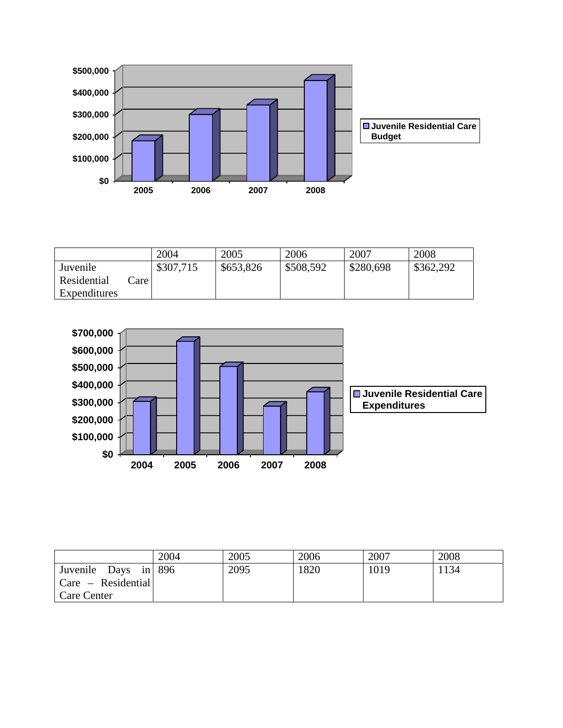

|              |       | 2004      | 2005      | 2006      | 2007      | 2008      |
|--------------|-------|-----------|-----------|-----------|-----------|-----------|
| Juvenile     |       | \$307,715 | \$653,826 | \$508,592 | \$280,698 | \$362,292 |
| Residential  | are l |           |           |           |           |           |
| Expenditures |       |           |           |           |           |           |



|                          | 2004 | 2005 | 2006 | 2007 | 2008 |
|--------------------------|------|------|------|------|------|
| Juvenile Days in 896     |      | 2095 | 1820 | 1019 | 1134 |
| $ $ Care $-$ Residential |      |      |      |      |      |
| Care Center              |      |      |      |      |      |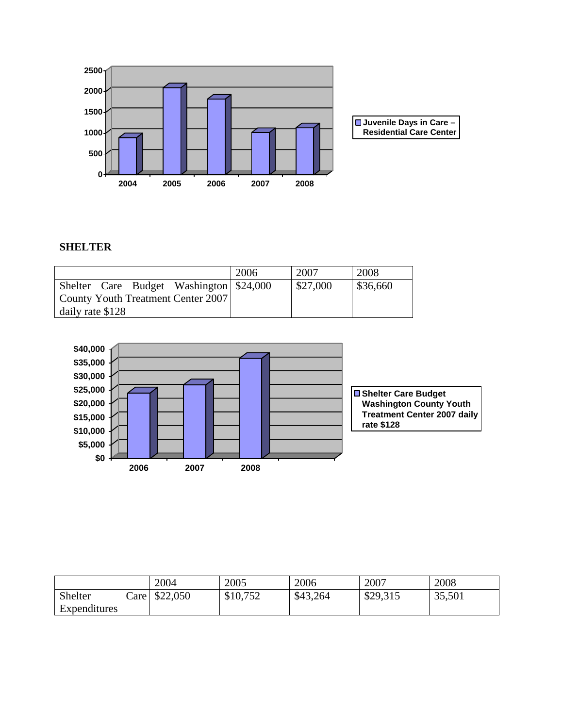

# **SHELTER**

|                  |  |                                         | 2006 | 2007     | 2008     |
|------------------|--|-----------------------------------------|------|----------|----------|
|                  |  | Shelter Care Budget Washington \$24,000 |      | \$27,000 | \$36,660 |
|                  |  | County Youth Treatment Center 2007      |      |          |          |
| daily rate \$128 |  |                                         |      |          |          |



|              |        | 2004     | 2005     | 2006     | 2007     | 2008   |
|--------------|--------|----------|----------|----------|----------|--------|
| Shelter      | care l | \$22,050 | \$10,752 | \$43,264 | \$29,315 | 35,501 |
| Expenditures |        |          |          |          |          |        |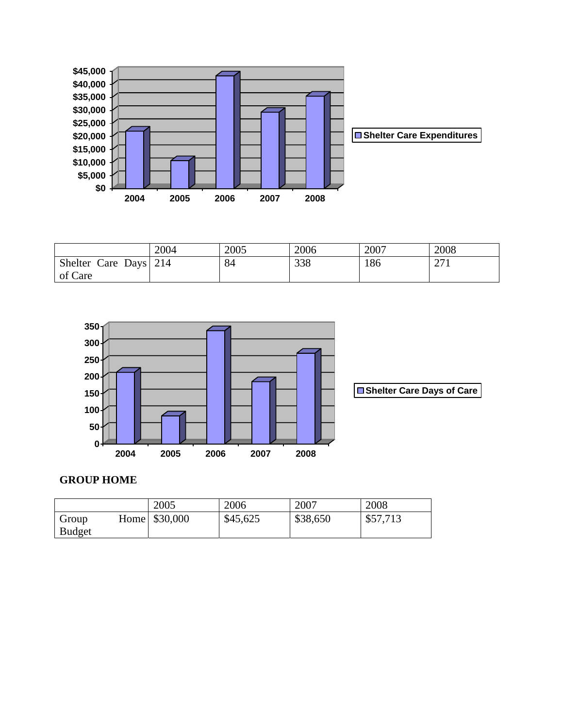

|                       | 2004 | 2005 | 2006 | 2007 | 2008       |
|-----------------------|------|------|------|------|------------|
| Shelter Care Days 214 |      | 84   | 338  | 186  | 271<br>211 |
| of Care               |      |      |      |      |            |



# **GROUP HOME**

|               | 2005            | 2006     | 2007     | 2008     |
|---------------|-----------------|----------|----------|----------|
| Group         | Home \ \$30,000 | \$45,625 | \$38,650 | \$57,713 |
| <b>Budget</b> |                 |          |          |          |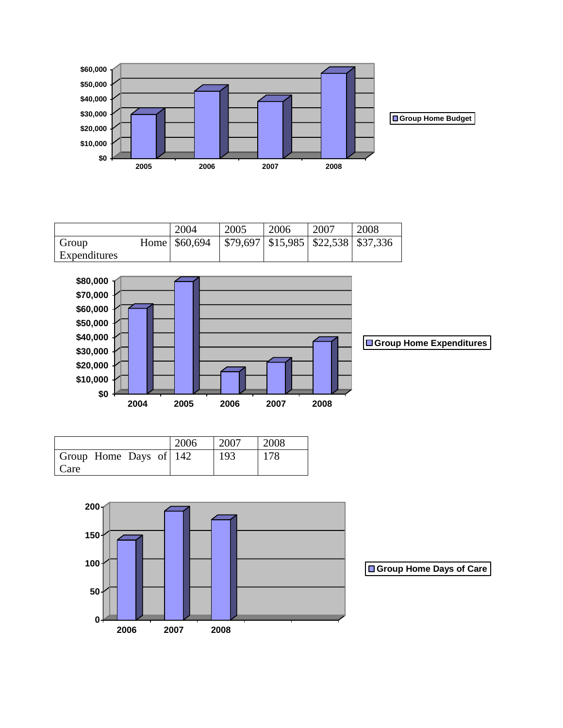

|              | 2004                                                        | 2005 | 2006 | 2007 | 2008 |
|--------------|-------------------------------------------------------------|------|------|------|------|
| Group        | Home   \$60,694   \$79,697   \$15,985   \$22,538   \$37,336 |      |      |      |      |
| Expenditures |                                                             |      |      |      |      |



|                        | 2006 | 2007 | 2008 |
|------------------------|------|------|------|
| Group Home Days of 142 |      | 193  | 178  |
| Care                   |      |      |      |



**Group Home Days of Care**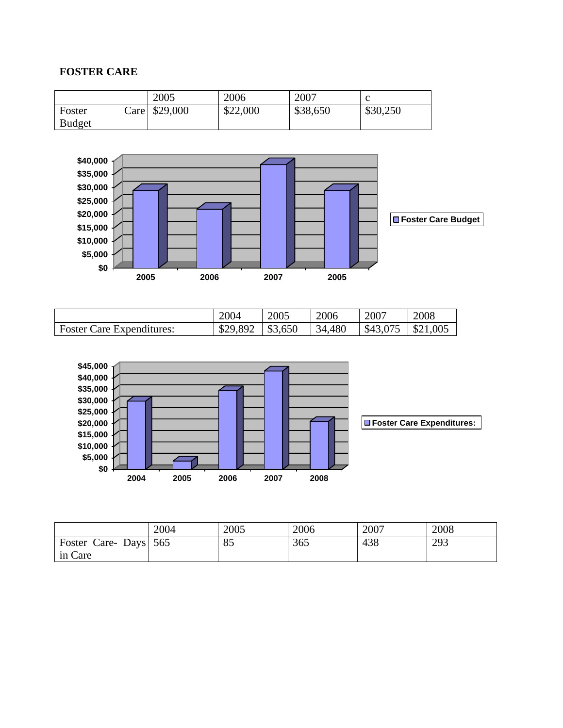# **FOSTER CARE**

|               | 2005          | 2006     | 2007     |          |
|---------------|---------------|----------|----------|----------|
| Foster        | Care \$29,000 | \$22,000 | \$38,650 | \$30,250 |
| <b>Budget</b> |               |          |          |          |



|                                  | 2004     | 2005    | 2006   | 2007     | 2008     |
|----------------------------------|----------|---------|--------|----------|----------|
| <b>Foster Care Expenditures:</b> | \$29,892 | \$3,650 | 34,480 | \$43,075 | \$21,005 |



|                      | 2004 | 2005 | 2006 | 2007 | 2008 |
|----------------------|------|------|------|------|------|
| Foster Care-Days 565 |      | 85   | 365  | 438  | 293  |
| in Care              |      |      |      |      |      |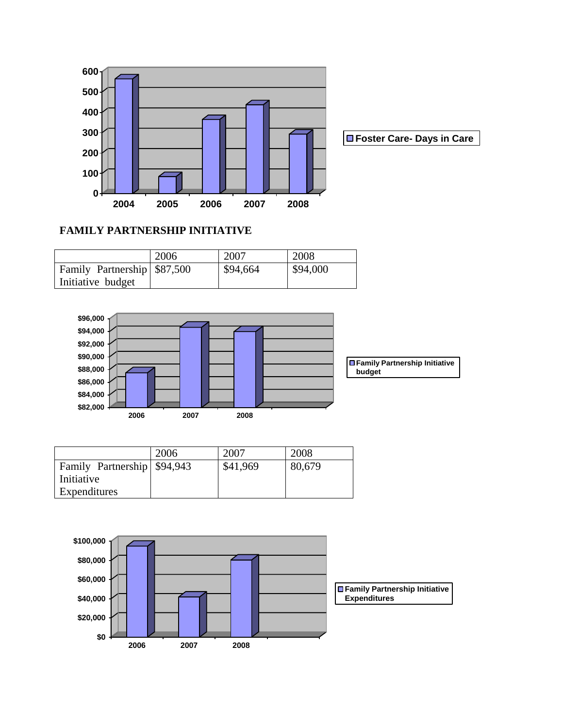

**Foster Care- Days in Care** 

# **FAMILY PARTNERSHIP INITIATIVE**

|                              | 2006 | 2007     | 2008     |
|------------------------------|------|----------|----------|
| Family Partnership \\$87,500 |      | \$94,664 | \$94,000 |
| Initiative budget            |      |          |          |



|                              | 2006 | 2007     | 2008   |
|------------------------------|------|----------|--------|
| Family Partnership \\$94,943 |      | \$41,969 | 80,679 |
| Initiative                   |      |          |        |
| Expenditures                 |      |          |        |

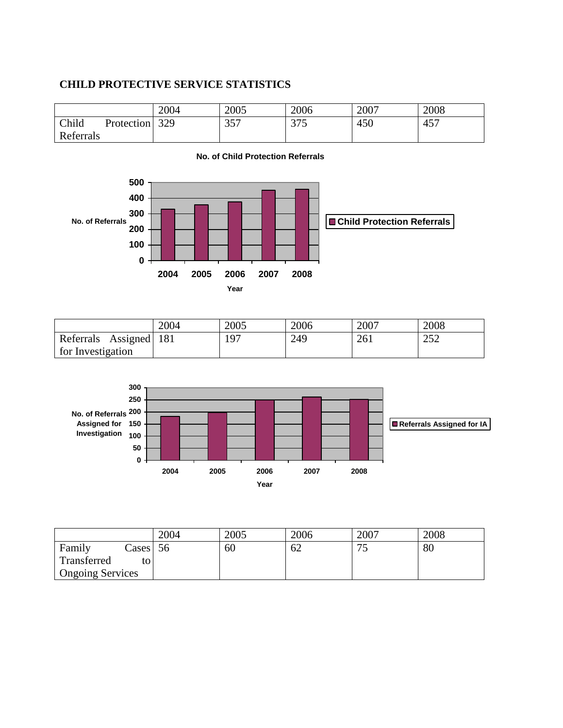### **CHILD PROTECTIVE SERVICE STATISTICS**

|                  |                   | 2004 | 2005         | 2006 | 2007 | 2008 |
|------------------|-------------------|------|--------------|------|------|------|
| Child            | <b>Protection</b> | 329  | 357<br>ر ر ر | 375  | 450  | 457  |
| <b>Referrals</b> |                   |      |              |      |      |      |



#### | 2004 | 2005 | 2006 | 2007 | 2008 Referrals Assigned for Investigation 181 | 197 | 249 | 261 | 252



|                         |               | 2004 | 2005 | 2006 | 2007 | 2008 |
|-------------------------|---------------|------|------|------|------|------|
| Family                  | $\text{Case}$ | 56   | 60   | 62   | ັ    | 80   |
| Transferred             | to            |      |      |      |      |      |
| <b>Ongoing Services</b> |               |      |      |      |      |      |

#### **No. of Child Protection Referrals**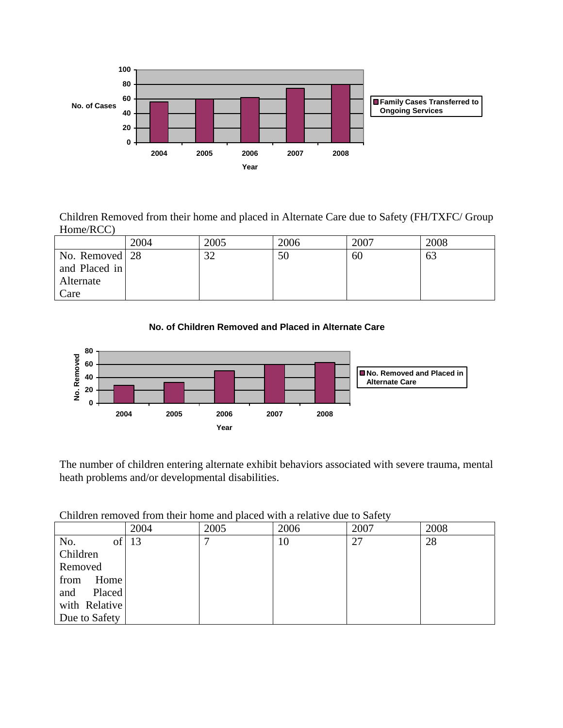

Children Removed from their home and placed in Alternate Care due to Safety (FH/TXFC/ Group Home/RCC)

|                | 2004 | 2005 | 2006 | 2007 | 2008 |
|----------------|------|------|------|------|------|
| No. Removed 28 |      | 32   | 50   | 60   | 63   |
| and Placed in  |      |      |      |      |      |
| Alternate      |      |      |      |      |      |
| Care           |      |      |      |      |      |





The number of children entering alternate exhibit behaviors associated with severe trauma, mental heath problems and/or developmental disabilities.

|               | 2004 | 2005 | 2006 | 2007 | 2008 |
|---------------|------|------|------|------|------|
| of<br>No.     | 13   | −    | 10   | 27   | 28   |
| Children      |      |      |      |      |      |
| Removed       |      |      |      |      |      |
| Home<br>from  |      |      |      |      |      |
| and<br>Placed |      |      |      |      |      |
| with Relative |      |      |      |      |      |
| Due to Safety |      |      |      |      |      |

Children removed from their home and placed with a relative due to Safety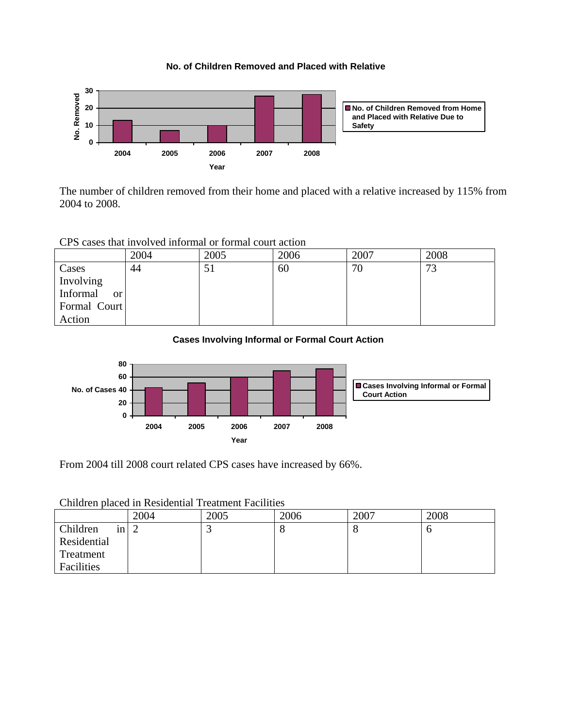



The number of children removed from their home and placed with a relative increased by 115% from 2004 to 2008.

CPS cases that involved informal or formal court action

|                      | 2004 | 2005 | 2006 | 2007 | 2008 |
|----------------------|------|------|------|------|------|
| Cases                | 44   | 51   | 60   | 70   | 73   |
| Involving            |      |      |      |      |      |
| Informal<br>$\alpha$ |      |      |      |      |      |
| Formal Court         |      |      |      |      |      |
| Action               |      |      |      |      |      |

#### **Cases Involving Informal or Formal Court Action**



From 2004 till 2008 court related CPS cases have increased by 66%.

| Children placed in Residential Treatment Facilities |  |  |  |  |
|-----------------------------------------------------|--|--|--|--|
|-----------------------------------------------------|--|--|--|--|

|                | 2004 | 2005 | 2006 | 2007 | 2008 |
|----------------|------|------|------|------|------|
| Children<br>1n |      |      | о    | O    | υ    |
| Residential    |      |      |      |      |      |
| Treatment      |      |      |      |      |      |
| Facilities     |      |      |      |      |      |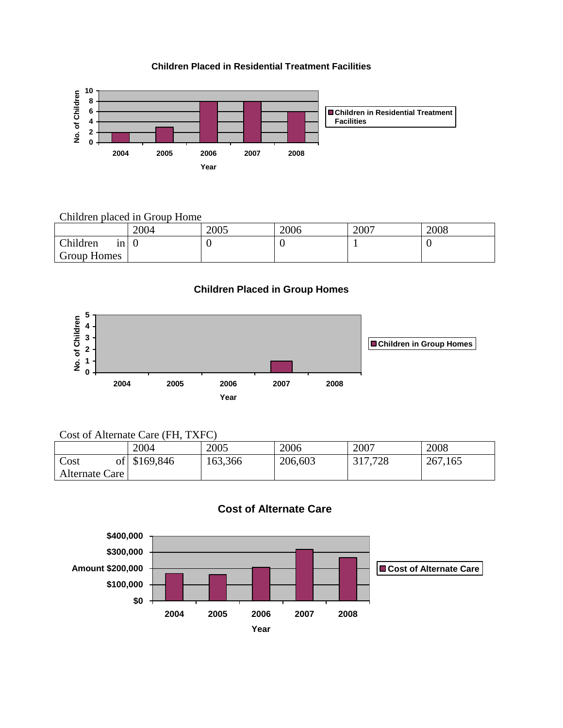#### **Children Placed in Residential Treatment Facilities**



#### Children placed in Group Home

|                | 2004 | 2005 | 2006 | 2007 | 2008 |
|----------------|------|------|------|------|------|
| Children<br>1n |      | υ    |      |      |      |
| Group Homes    |      |      |      |      |      |

**Children Placed in Group Homes**



### Cost of Alternate Care (FH, TXFC)

|                | 2004         | 2005    | 2006    | 2007    | 2008    |
|----------------|--------------|---------|---------|---------|---------|
| Cost           | of \$169,846 | 163,366 | 206,603 | 317,728 | 267,165 |
| Alternate Care |              |         |         |         |         |

### **Cost of Alternate Care**

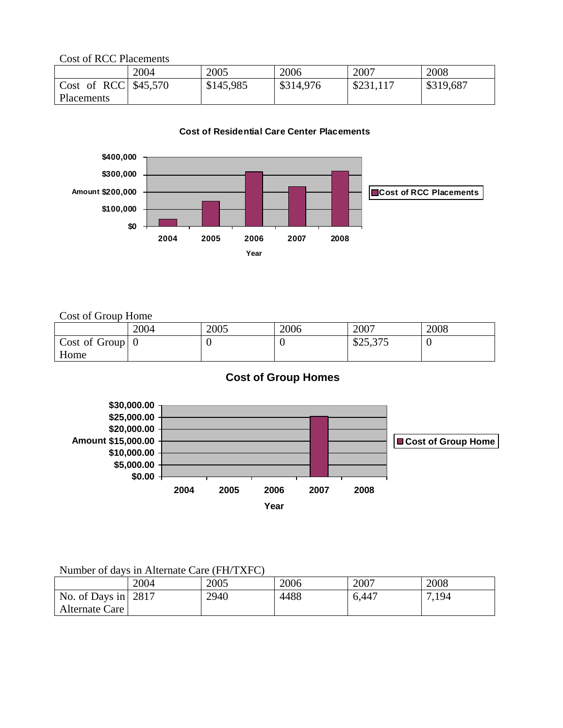Cost of RCC Placements

|                       | 2004 | 2005      | 2006      | 2007      | 2008      |
|-----------------------|------|-----------|-----------|-----------|-----------|
| Cost of RCC $$45,570$ |      | \$145,985 | \$314,976 | \$231,117 | \$319,687 |
| Placements            |      |           |           |           |           |

#### **Cost of Residential Care Center Placements**



Cost of Group Home

|                                 | 2004 | 2005 | 2006 | 2007     | 2008 |
|---------------------------------|------|------|------|----------|------|
| $\vert$ Cost of Group $\vert$ 0 |      |      |      | \$25,375 |      |
| Home                            |      |      |      |          |      |

# **Cost of Group Homes**



### Number of days in Alternate Care (FH/TXFC)

|                             | 2004 | 2005 | 2006 | 2007  | 2008 |
|-----------------------------|------|------|------|-------|------|
| No. of Days in $\vert$ 2817 |      | 2940 | 4488 | 6,447 | .194 |
| Alternate Care              |      |      |      |       |      |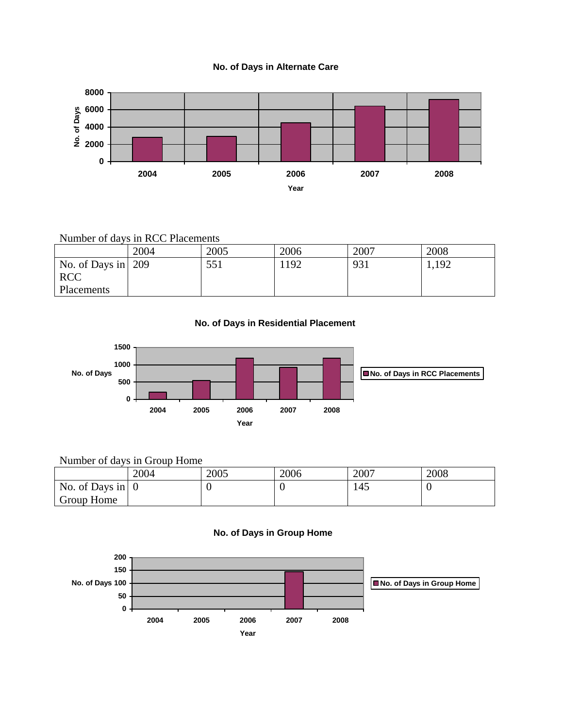



# Number of days in RCC Placements

|                            | 2004 | 2005 | 2006 | 2007 | 2008  |
|----------------------------|------|------|------|------|-------|
| No. of Days in $\vert$ 209 |      | 551  | 1192 | 931  | 1,192 |
| <b>RCC</b>                 |      |      |      |      |       |
| Placements                 |      |      |      |      |       |

#### **No. of Days in Residential Placement**



# Number of days in Group Home

|                                | 2004 | 2005 | 2006 | 2007 | 2008 |
|--------------------------------|------|------|------|------|------|
| No. of Days in $\vert 0 \vert$ |      |      |      | 145  | v    |
| Group Home                     |      |      |      |      |      |



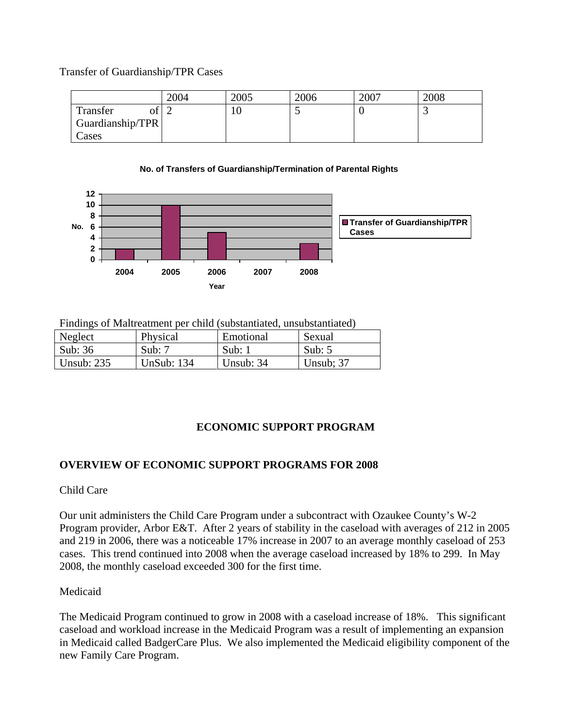Transfer of Guardianship/TPR Cases

|                  | 2004 | 2005 | 2006 | 2007 | 2008 |
|------------------|------|------|------|------|------|
| Transfer         |      | 10   |      |      | ~    |
| Guardianship/TPR |      |      |      |      |      |
| Cases            |      |      |      |      |      |





Findings of Maltreatment per child (substantiated, unsubstantiated)

| Neglect      | Physical          | Emotional | Sexual    |
|--------------|-------------------|-----------|-----------|
| Sub: 36      | Sub: $7$          | Sub:      | Sub: $5$  |
| Unsub: $235$ | <b>UnSub: 134</b> | Unsub: 34 | Unsub: 37 |

# **ECONOMIC SUPPORT PROGRAM**

# **OVERVIEW OF ECONOMIC SUPPORT PROGRAMS FOR 2008**

# Child Care

Our unit administers the Child Care Program under a subcontract with Ozaukee County's W-2 Program provider, Arbor E&T. After 2 years of stability in the caseload with averages of 212 in 2005 and 219 in 2006, there was a noticeable 17% increase in 2007 to an average monthly caseload of 253 cases. This trend continued into 2008 when the average caseload increased by 18% to 299. In May 2008, the monthly caseload exceeded 300 for the first time.

# Medicaid

The Medicaid Program continued to grow in 2008 with a caseload increase of 18%. This significant caseload and workload increase in the Medicaid Program was a result of implementing an expansion in Medicaid called BadgerCare Plus. We also implemented the Medicaid eligibility component of the new Family Care Program.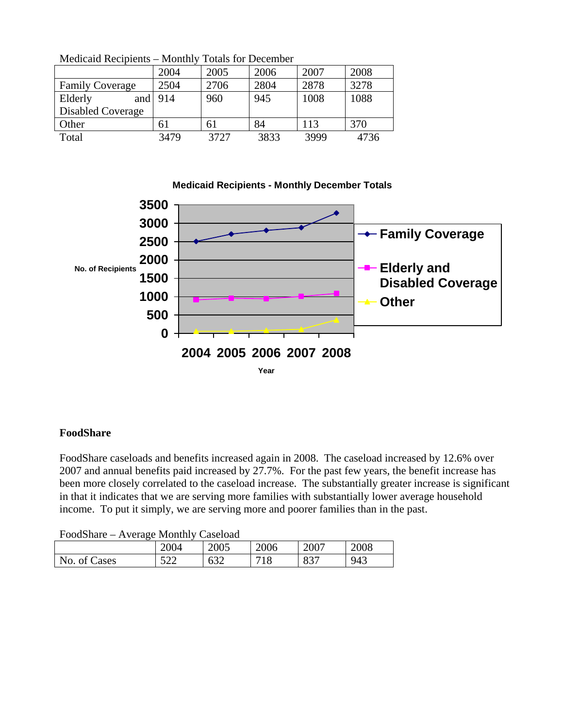|                        | .    | 1904 191 <i>192</i> 000 1110 01 |      |      |      |
|------------------------|------|---------------------------------|------|------|------|
|                        | 2004 | 2005                            | 2006 | 2007 | 2008 |
| <b>Family Coverage</b> | 2504 | 2706                            | 2804 | 2878 | 3278 |
| Elderly<br>and         | 914  | 960                             | 945  | 1008 | 1088 |
| Disabled Coverage      |      |                                 |      |      |      |
| Other                  | 61   | 61                              | 84   | 113  | 370  |
| Total                  | 3479 | 3727                            | 3833 | 3999 | 4736 |
|                        |      |                                 |      |      |      |

Medicaid Recipients – Monthly Totals for December



# **FoodShare**

FoodShare caseloads and benefits increased again in 2008. The caseload increased by 12.6% over 2007 and annual benefits paid increased by 27.7%. For the past few years, the benefit increase has been more closely correlated to the caseload increase. The substantially greater increase is significant in that it indicates that we are serving more families with substantially lower average household income. To put it simply, we are serving more and poorer families than in the past.

| FoodShare – Average Monthly Caseload |  |  |
|--------------------------------------|--|--|
|                                      |  |  |

|                   | 2004       | 2005               | 2006 | 2007       | 2008 |
|-------------------|------------|--------------------|------|------------|------|
| No.<br>ases<br>ΟÌ | - م<br>ے ت | $\sim$<br>h<br>∪J∠ | 1 O  | 027<br>OJ. | 943  |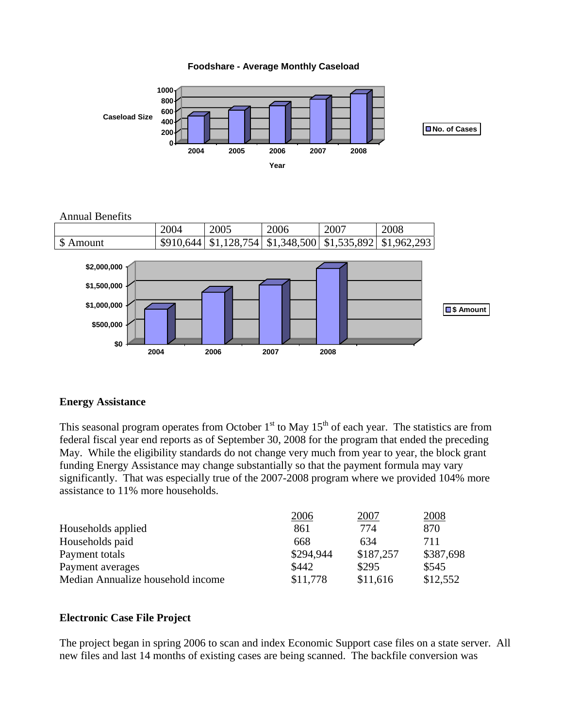



Annual Benefits



#### **Energy Assistance**

This seasonal program operates from October  $1<sup>st</sup>$  to May  $15<sup>th</sup>$  of each year. The statistics are from federal fiscal year end reports as of September 30, 2008 for the program that ended the preceding May. While the eligibility standards do not change very much from year to year, the block grant funding Energy Assistance may change substantially so that the payment formula may vary significantly. That was especially true of the 2007-2008 program where we provided 104% more assistance to 11% more households.

|                                   | 2006      | 2007      | 2008      |
|-----------------------------------|-----------|-----------|-----------|
| Households applied                | 861       | 774       | 870       |
| Households paid                   | 668       | 634       | 711       |
| Payment totals                    | \$294,944 | \$187,257 | \$387,698 |
| Payment averages                  | \$442     | \$295     | \$545     |
| Median Annualize household income | \$11,778  | \$11,616  | \$12,552  |

#### **Electronic Case File Project**

The project began in spring 2006 to scan and index Economic Support case files on a state server. All new files and last 14 months of existing cases are being scanned. The backfile conversion was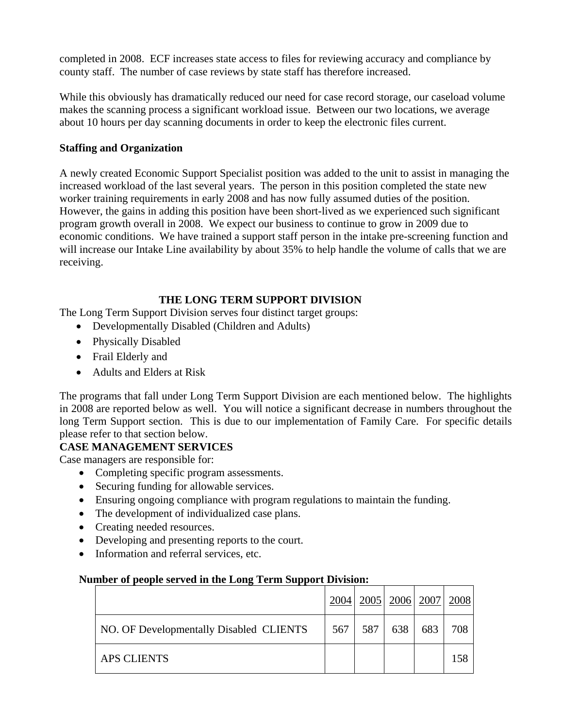completed in 2008. ECF increases state access to files for reviewing accuracy and compliance by county staff. The number of case reviews by state staff has therefore increased.

While this obviously has dramatically reduced our need for case record storage, our caseload volume makes the scanning process a significant workload issue. Between our two locations, we average about 10 hours per day scanning documents in order to keep the electronic files current.

# **Staffing and Organization**

A newly created Economic Support Specialist position was added to the unit to assist in managing the increased workload of the last several years. The person in this position completed the state new worker training requirements in early 2008 and has now fully assumed duties of the position. However, the gains in adding this position have been short-lived as we experienced such significant program growth overall in 2008. We expect our business to continue to grow in 2009 due to economic conditions. We have trained a support staff person in the intake pre-screening function and will increase our Intake Line availability by about 35% to help handle the volume of calls that we are receiving.

### **THE LONG TERM SUPPORT DIVISION**

The Long Term Support Division serves four distinct target groups:

- Developmentally Disabled (Children and Adults)
- Physically Disabled
- Frail Elderly and
- Adults and Elders at Risk

The programs that fall under Long Term Support Division are each mentioned below. The highlights in 2008 are reported below as well. You will notice a significant decrease in numbers throughout the long Term Support section. This is due to our implementation of Family Care. For specific details please refer to that section below.

# **CASE MANAGEMENT SERVICES**

Case managers are responsible for:

- Completing specific program assessments.
- Securing funding for allowable services.
- Ensuring ongoing compliance with program regulations to maintain the funding.
- The development of individualized case plans.
- Creating needed resources.
- Developing and presenting reports to the court.
- Information and referral services, etc.

#### **Number of people served in the Long Term Support Division:**

|                                         |     |     |     | 2004   2005   2006   2007   2008 |     |
|-----------------------------------------|-----|-----|-----|----------------------------------|-----|
| NO. OF Developmentally Disabled CLIENTS | 567 | 587 | 638 | 683                              | 708 |
| <b>APS CLIENTS</b>                      |     |     |     |                                  |     |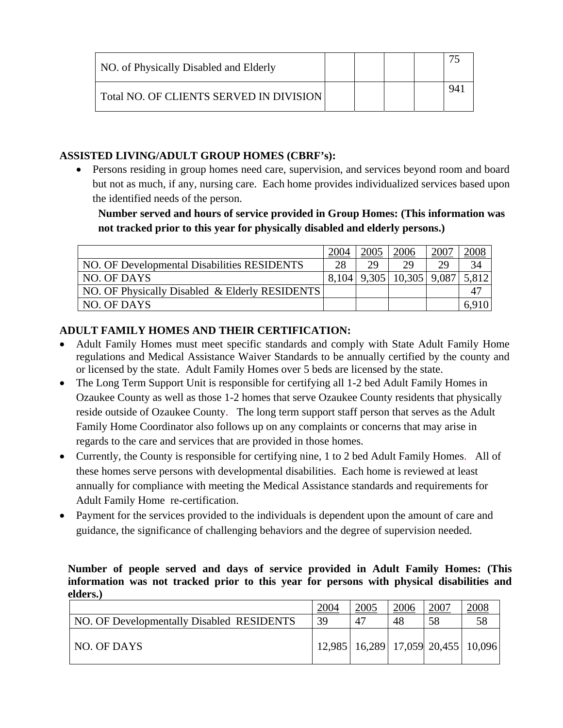| NO. of Physically Disabled and Elderly  |  |  |  |
|-----------------------------------------|--|--|--|
| Total NO. OF CLIENTS SERVED IN DIVISION |  |  |  |

# **ASSISTED LIVING/ADULT GROUP HOMES (CBRF's):**

• Persons residing in group homes need care, supervision, and services beyond room and board but not as much, if any, nursing care. Each home provides individualized services based upon the identified needs of the person.

**Number served and hours of service provided in Group Homes: (This information was not tracked prior to this year for physically disabled and elderly persons.)**

|                                                | 2004  | 2005 | 2006                     | <u>2007</u> |       |
|------------------------------------------------|-------|------|--------------------------|-------------|-------|
| NO. OF Developmental Disabilities RESIDENTS    | 28    | 29   | 29                       | 29          |       |
| NO. OF DAYS                                    | 8.104 |      | $9,305$   10,305   9,087 |             | 5,812 |
| NO. OF Physically Disabled & Elderly RESIDENTS |       |      |                          |             |       |
| NO. OF DAYS                                    |       |      |                          |             | 6.910 |

# **ADULT FAMILY HOMES AND THEIR CERTIFICATION:**

- Adult Family Homes must meet specific standards and comply with State Adult Family Home regulations and Medical Assistance Waiver Standards to be annually certified by the county and or licensed by the state. Adult Family Homes over 5 beds are licensed by the state.
- The Long Term Support Unit is responsible for certifying all 1-2 bed Adult Family Homes in Ozaukee County as well as those 1-2 homes that serve Ozaukee County residents that physically reside outside of Ozaukee County. The long term support staff person that serves as the Adult Family Home Coordinator also follows up on any complaints or concerns that may arise in regards to the care and services that are provided in those homes.
- Currently, the County is responsible for certifying nine, 1 to 2 bed Adult Family Homes. All of these homes serve persons with developmental disabilities. Each home is reviewed at least annually for compliance with meeting the Medical Assistance standards and requirements for Adult Family Home re-certification.
- Payment for the services provided to the individuals is dependent upon the amount of care and guidance, the significance of challenging behaviors and the degree of supervision needed.

**Number of people served and days of service provided in Adult Family Homes: (This information was not tracked prior to this year for persons with physical disabilities and elders.)**

|                                           | 2004 | 2005        | 2006 | 2007                                       | 2008 |
|-------------------------------------------|------|-------------|------|--------------------------------------------|------|
| NO. OF Developmentally Disabled RESIDENTS | 39   | $4^{\circ}$ | 48   | 58                                         | 58   |
| NO. OF DAYS                               |      |             |      | 12,985   16,289   17,059   20,455   10,096 |      |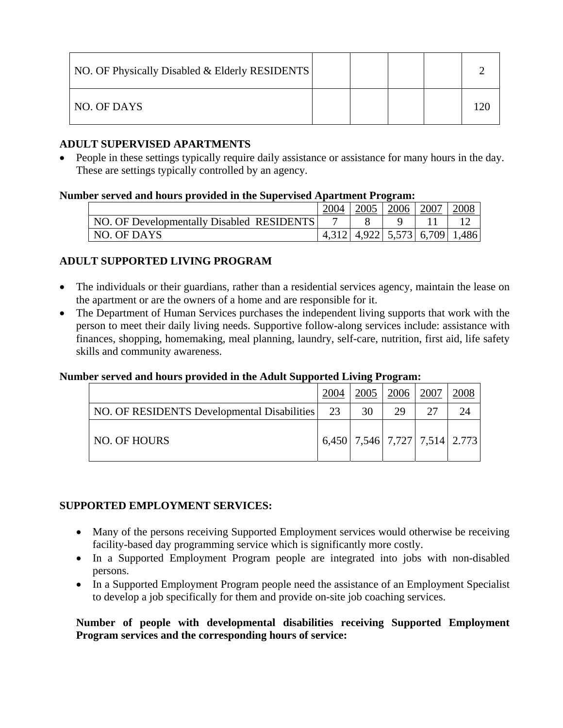| NO. OF Physically Disabled & Elderly RESIDENTS |  |  |  |
|------------------------------------------------|--|--|--|
| NO. OF DAYS                                    |  |  |  |

# **ADULT SUPERVISED APARTMENTS**

• People in these settings typically require daily assistance or assistance for many hours in the day. These are settings typically controlled by an agency.

### **Number served and hours provided in the Supervised Apartment Program:**

|                                           | 2005 | 2006                          | 2007 | <u>2008</u> |
|-------------------------------------------|------|-------------------------------|------|-------------|
| NO. OF Developmentally Disabled RESIDENTS |      |                               |      |             |
| NO. OF DAYS                               |      | 4,312 4,922 5,573 6,709 1,486 |      |             |

# **ADULT SUPPORTED LIVING PROGRAM**

- The individuals or their guardians, rather than a residential services agency, maintain the lease on the apartment or are the owners of a home and are responsible for it.
- The Department of Human Services purchases the independent living supports that work with the person to meet their daily living needs. Supportive follow-along services include: assistance with finances, shopping, homemaking, meal planning, laundry, self-care, nutrition, first aid, life safety skills and community awareness.

# **Number served and hours provided in the Adult Supported Living Program:**

|                                             | 2004 | 2005 | 2006 | 2007                                  |  |
|---------------------------------------------|------|------|------|---------------------------------------|--|
| NO. OF RESIDENTS Developmental Disabilities | 23   | 30   | 29   | つつ                                    |  |
| NO. OF HOURS                                |      |      |      | 6,450   7,546   7,727   7,514   2.773 |  |

# **SUPPORTED EMPLOYMENT SERVICES:**

- Many of the persons receiving Supported Employment services would otherwise be receiving facility-based day programming service which is significantly more costly.
- In a Supported Employment Program people are integrated into jobs with non-disabled persons.
- In a Supported Employment Program people need the assistance of an Employment Specialist to develop a job specifically for them and provide on-site job coaching services.

# **Number of people with developmental disabilities receiving Supported Employment Program services and the corresponding hours of service:**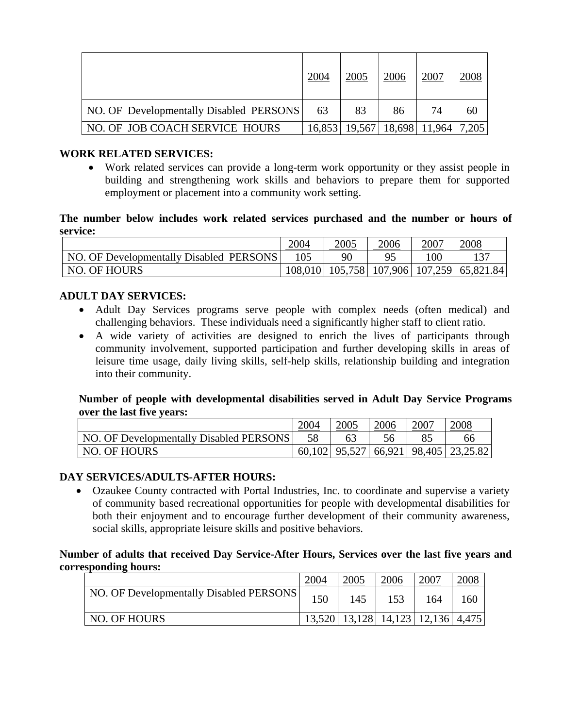|                                         | 2004 | 2005                                      | 2006 | 2007 | 2008 |
|-----------------------------------------|------|-------------------------------------------|------|------|------|
| NO. OF Developmentally Disabled PERSONS | 63   | 83                                        | 86   | 74   | 60   |
| NO. OF JOB COACH SERVICE HOURS          |      | 16,853   19,567   18,698   11,964   7,205 |      |      |      |

### **WORK RELATED SERVICES:**

• Work related services can provide a long-term work opportunity or they assist people in building and strengthening work skills and behaviors to prepare them for supported employment or placement into a community work setting.

#### **The number below includes work related services purchased and the number or hours of service:**

|                                         | 2004 | 2005 | 2006 | 2007         | 2008                                              |
|-----------------------------------------|------|------|------|--------------|---------------------------------------------------|
| NO. OF Developmentally Disabled PERSONS |      | 90   |      | $00^{\circ}$ |                                                   |
| <b>NO. OF HOURS</b>                     |      |      |      |              | 108,010   105,758   107,906   107,259   65,821.84 |

# **ADULT DAY SERVICES:**

- Adult Day Services programs serve people with complex needs (often medical) and challenging behaviors. These individuals need a significantly higher staff to client ratio.
- A wide variety of activities are designed to enrich the lives of participants through community involvement, supported participation and further developing skills in areas of leisure time usage, daily living skills, self-help skills, relationship building and integration into their community.

### **Number of people with developmental disabilities served in Adult Day Service Programs over the last five years:**

|                                         | 2005 | 2006 | 2007 | 2008                                         |
|-----------------------------------------|------|------|------|----------------------------------------------|
| NO. OF Developmentally Disabled PERSONS |      |      |      |                                              |
| NO. OF HOURS                            |      |      |      | 60,102   95,527   66,921   98,405   23,25.82 |

#### **DAY SERVICES/ADULTS-AFTER HOURS:**

• Ozaukee County contracted with Portal Industries, Inc. to coordinate and supervise a variety of community based recreational opportunities for people with developmental disabilities for both their enjoyment and to encourage further development of their community awareness, social skills, appropriate leisure skills and positive behaviors.

**Number of adults that received Day Service-After Hours, Services over the last five years and corresponding hours:** 

|                                         | 2004 |                                           | 2006 | 2007 |     |
|-----------------------------------------|------|-------------------------------------------|------|------|-----|
| NO. OF Developmentally Disabled PERSONS | 150  | 145                                       | 153  | 164  | 160 |
| NO. OF HOURS                            |      | 13,520   13,128   14,123   12,136   4,475 |      |      |     |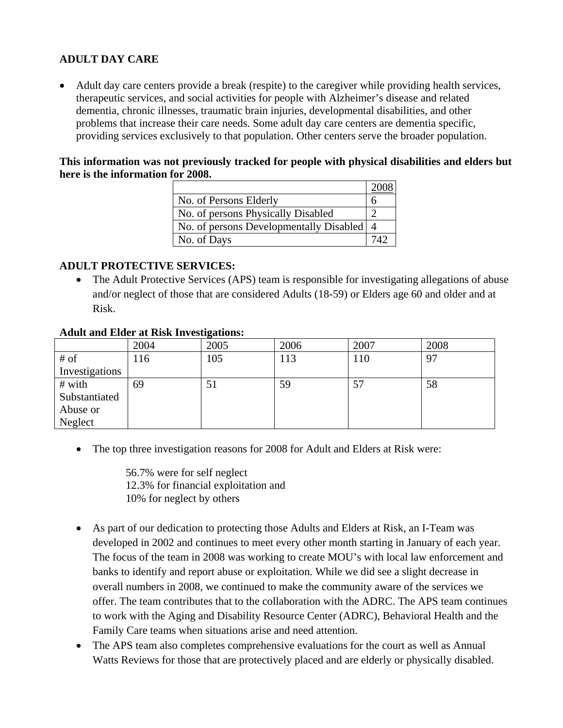# **ADULT DAY CARE**

• Adult day care centers provide a break (respite) to the caregiver while providing health services, therapeutic services, and social activities for people with Alzheimer's disease and related dementia, chronic illnesses, traumatic brain injuries, developmental disabilities, and other problems that increase their care needs. Some adult day care centers are dementia specific, providing services exclusively to that population. Other centers serve the broader population.

### **This information was not previously tracked for people with physical disabilities and elders but here is the information for 2008.**

| No. of Persons Elderly                    | n |
|-------------------------------------------|---|
| No. of persons Physically Disabled        |   |
| No. of persons Developmentally Disabled 4 |   |
| No. of Days                               |   |

# **ADULT PROTECTIVE SERVICES:**

• The Adult Protective Services (APS) team is responsible for investigating allegations of abuse and/or neglect of those that are considered Adults (18-59) or Elders age 60 and older and at Risk.

#### **Adult and Elder at Risk Investigations:**

|                | 2004 | 0<br>2005 | 2006 | 2007 | 2008 |
|----------------|------|-----------|------|------|------|
| # of           | 116  | 105       | 113  | 110  | 97   |
| Investigations |      |           |      |      |      |
| # with         | 69   | 51        | 59   | 57   | 58   |
| Substantiated  |      |           |      |      |      |
| Abuse or       |      |           |      |      |      |
| Neglect        |      |           |      |      |      |

The top three investigation reasons for 2008 for Adult and Elders at Risk were:

56.7% were for self neglect 12.3% for financial exploitation and 10% for neglect by others

- As part of our dedication to protecting those Adults and Elders at Risk, an I-Team was developed in 2002 and continues to meet every other month starting in January of each year. The focus of the team in 2008 was working to create MOU's with local law enforcement and banks to identify and report abuse or exploitation. While we did see a slight decrease in overall numbers in 2008, we continued to make the community aware of the services we offer. The team contributes that to the collaboration with the ADRC. The APS team continues to work with the Aging and Disability Resource Center (ADRC), Behavioral Health and the Family Care teams when situations arise and need attention.
- The APS team also completes comprehensive evaluations for the court as well as Annual Watts Reviews for those that are protectively placed and are elderly or physically disabled.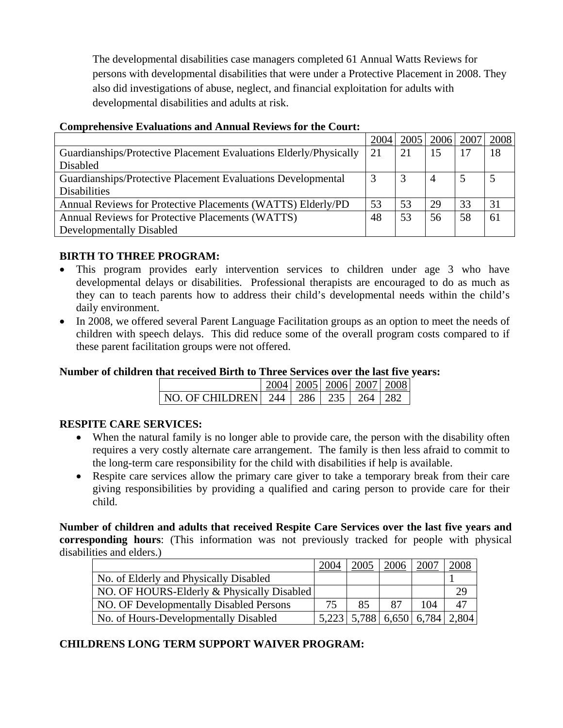The developmental disabilities case managers completed 61 Annual Watts Reviews for persons with developmental disabilities that were under a Protective Placement in 2008. They also did investigations of abuse, neglect, and financial exploitation for adults with developmental disabilities and adults at risk.

|                                                                   | 2004 | 2005 | 2006 | 2007 | 2008 |
|-------------------------------------------------------------------|------|------|------|------|------|
| Guardianships/Protective Placement Evaluations Elderly/Physically | 21   | 21   | 15   |      | 18   |
| Disabled                                                          |      |      |      |      |      |
| Guardianships/Protective Placement Evaluations Developmental      |      | 3    | 4    |      |      |
| <b>Disabilities</b>                                               |      |      |      |      |      |
| Annual Reviews for Protective Placements (WATTS) Elderly/PD       | 53   | 53   | 29   | 33   | 31   |
| Annual Reviews for Protective Placements (WATTS)                  | 48   | 53   | 56   | 58   | 61   |
| Developmentally Disabled                                          |      |      |      |      |      |

### **Comprehensive Evaluations and Annual Reviews for the Court:**

# **BIRTH TO THREE PROGRAM:**

- This program provides early intervention services to children under age 3 who have developmental delays or disabilities. Professional therapists are encouraged to do as much as they can to teach parents how to address their child's developmental needs within the child's daily environment.
- In 2008, we offered several Parent Language Facilitation groups as an option to meet the needs of children with speech delays. This did reduce some of the overall program costs compared to if these parent facilitation groups were not offered.

# **Number of children that received Birth to Three Services over the last five years:**

|                                              |  | 2004   2005   2006   2007   2008 |  |
|----------------------------------------------|--|----------------------------------|--|
| NO. OF CHILDREN  244   286   235   264   282 |  |                                  |  |

# **RESPITE CARE SERVICES:**

- When the natural family is no longer able to provide care, the person with the disability often requires a very costly alternate care arrangement. The family is then less afraid to commit to the long-term care responsibility for the child with disabilities if help is available.
- Respite care services allow the primary care giver to take a temporary break from their care giving responsibilities by providing a qualified and caring person to provide care for their child.

**Number of children and adults that received Respite Care Services over the last five years and corresponding hours**: (This information was not previously tracked for people with physical disabilities and elders.)

|                                            | 2004  |       | 2006  |       |       |
|--------------------------------------------|-------|-------|-------|-------|-------|
| No. of Elderly and Physically Disabled     |       |       |       |       |       |
| NO. OF HOURS-Elderly & Physically Disabled |       |       |       |       | 29    |
| NO. OF Developmentally Disabled Persons    |       | 85    |       | 104   |       |
| No. of Hours-Developmentally Disabled      | 5.223 | 5.788 | 6,650 | 6,784 | 2,804 |

# **CHILDRENS LONG TERM SUPPORT WAIVER PROGRAM:**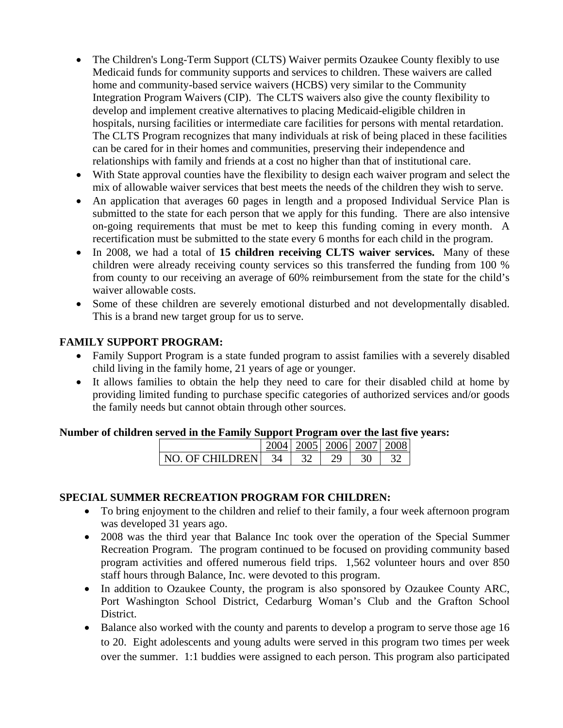- The Children's Long-Term Support (CLTS) Waiver permits Ozaukee County flexibly to use Medicaid funds for community supports and services to children. These waivers are called home and community-based service waivers (HCBS) very similar to the Community Integration Program Waivers (CIP). The CLTS waivers also give the county flexibility to develop and implement creative alternatives to placing Medicaid-eligible children in hospitals, nursing facilities or intermediate care facilities for persons with mental retardation. The CLTS Program recognizes that many individuals at risk of being placed in these facilities can be cared for in their homes and communities, preserving their independence and relationships with family and friends at a cost no higher than that of institutional care.
- With State approval counties have the flexibility to design each waiver program and select the mix of allowable waiver services that best meets the needs of the children they wish to serve.
- An application that averages 60 pages in length and a proposed Individual Service Plan is submitted to the state for each person that we apply for this funding. There are also intensive on-going requirements that must be met to keep this funding coming in every month. A recertification must be submitted to the state every 6 months for each child in the program.
- In 2008, we had a total of **15 children receiving CLTS waiver services.** Many of these children were already receiving county services so this transferred the funding from 100 % from county to our receiving an average of 60% reimbursement from the state for the child's waiver allowable costs.
- Some of these children are severely emotional disturbed and not developmentally disabled. This is a brand new target group for us to serve.

# **FAMILY SUPPORT PROGRAM:**

- Family Support Program is a state funded program to assist families with a severely disabled child living in the family home, 21 years of age or younger.
- It allows families to obtain the help they need to care for their disabled child at home by providing limited funding to purchase specific categories of authorized services and/or goods the family needs but cannot obtain through other sources.

#### **Number of children served in the Family Support Program over the last five years:**

|                | 2004 |  | 2005   2006   2007 | 2008 |
|----------------|------|--|--------------------|------|
| NO OF CHILDREN | 34   |  |                    |      |

# **SPECIAL SUMMER RECREATION PROGRAM FOR CHILDREN:**

- To bring enjoyment to the children and relief to their family, a four week afternoon program was developed 31 years ago.
- 2008 was the third year that Balance Inc took over the operation of the Special Summer Recreation Program. The program continued to be focused on providing community based program activities and offered numerous field trips. 1,562 volunteer hours and over 850 staff hours through Balance, Inc. were devoted to this program.
- In addition to Ozaukee County, the program is also sponsored by Ozaukee County ARC, Port Washington School District, Cedarburg Woman's Club and the Grafton School District.
- Balance also worked with the county and parents to develop a program to serve those age 16 to 20. Eight adolescents and young adults were served in this program two times per week over the summer. 1:1 buddies were assigned to each person. This program also participated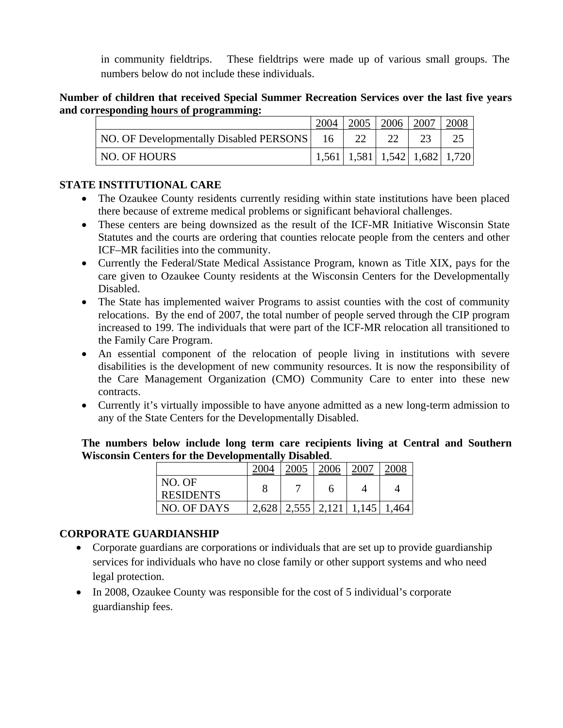in community fieldtrips. These fieldtrips were made up of various small groups. The numbers below do not include these individuals.

### **Number of children that received Special Summer Recreation Services over the last five years and corresponding hours of programming:**

|                                         | 2005                                    | 2006 | 2007 | 2008 |
|-----------------------------------------|-----------------------------------------|------|------|------|
| NO. OF Developmentally Disabled PERSONS |                                         |      |      |      |
| NO. OF HOURS                            | $1,561$   1,581   1,542   1,682   1,720 |      |      |      |

# **STATE INSTITUTIONAL CARE**

- The Ozaukee County residents currently residing within state institutions have been placed there because of extreme medical problems or significant behavioral challenges.
- These centers are being downsized as the result of the ICF-MR Initiative Wisconsin State Statutes and the courts are ordering that counties relocate people from the centers and other ICF–MR facilities into the community.
- Currently the Federal/State Medical Assistance Program, known as Title XIX, pays for the care given to Ozaukee County residents at the Wisconsin Centers for the Developmentally Disabled.
- The State has implemented waiver Programs to assist counties with the cost of community relocations. By the end of 2007, the total number of people served through the CIP program increased to 199. The individuals that were part of the ICF-MR relocation all transitioned to the Family Care Program.
- An essential component of the relocation of people living in institutions with severe disabilities is the development of new community resources. It is now the responsibility of the Care Management Organization (CMO) Community Care to enter into these new contracts.
- Currently it's virtually impossible to have anyone admitted as a new long-term admission to any of the State Centers for the Developmentally Disabled.

**The numbers below include long term care recipients living at Central and Southern Wisconsin Centers for the Developmentally Disabled**.

|                  | 2005                    | 2006 | 2007          | 2008 |
|------------------|-------------------------|------|---------------|------|
| NO. OF           |                         |      |               |      |
| <b>RESIDENTS</b> |                         |      |               |      |
| NO. OF DAYS      | $2,628$   2,555   2,121 |      | $1,145$ 1,464 |      |

# **CORPORATE GUARDIANSHIP**

- Corporate guardians are corporations or individuals that are set up to provide guardianship services for individuals who have no close family or other support systems and who need legal protection.
- In 2008, Ozaukee County was responsible for the cost of 5 individual's corporate guardianship fees.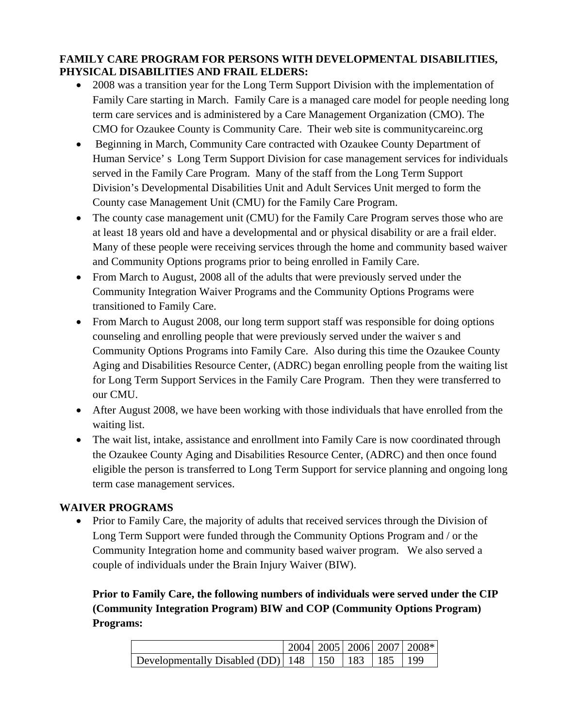# **FAMILY CARE PROGRAM FOR PERSONS WITH DEVELOPMENTAL DISABILITIES, PHYSICAL DISABILITIES AND FRAIL ELDERS:**

- 2008 was a transition year for the Long Term Support Division with the implementation of Family Care starting in March. Family Care is a managed care model for people needing long term care services and is administered by a Care Management Organization (CMO). The CMO for Ozaukee County is Community Care. Their web site is communitycareinc.org
- Beginning in March, Community Care contracted with Ozaukee County Department of Human Service' s Long Term Support Division for case management services for individuals served in the Family Care Program. Many of the staff from the Long Term Support Division's Developmental Disabilities Unit and Adult Services Unit merged to form the County case Management Unit (CMU) for the Family Care Program.
- The county case management unit (CMU) for the Family Care Program serves those who are at least 18 years old and have a developmental and or physical disability or are a frail elder. Many of these people were receiving services through the home and community based waiver and Community Options programs prior to being enrolled in Family Care.
- From March to August, 2008 all of the adults that were previously served under the Community Integration Waiver Programs and the Community Options Programs were transitioned to Family Care.
- From March to August 2008, our long term support staff was responsible for doing options counseling and enrolling people that were previously served under the waiver s and Community Options Programs into Family Care. Also during this time the Ozaukee County Aging and Disabilities Resource Center, (ADRC) began enrolling people from the waiting list for Long Term Support Services in the Family Care Program. Then they were transferred to our CMU.
- After August 2008, we have been working with those individuals that have enrolled from the waiting list.
- The wait list, intake, assistance and enrollment into Family Care is now coordinated through the Ozaukee County Aging and Disabilities Resource Center, (ADRC) and then once found eligible the person is transferred to Long Term Support for service planning and ongoing long term case management services.

# **WAIVER PROGRAMS**

• Prior to Family Care, the majority of adults that received services through the Division of Long Term Support were funded through the Community Options Program and / or the Community Integration home and community based waiver program. We also served a couple of individuals under the Brain Injury Waiver (BIW).

**Prior to Family Care, the following numbers of individuals were served under the CIP (Community Integration Program) BIW and COP (Community Options Program) Programs:** 

|                                                             |  |  | 2004   2005   2006   2007   2008* |
|-------------------------------------------------------------|--|--|-----------------------------------|
| Developmentally Disabled (DD)   148   150   183   185   199 |  |  |                                   |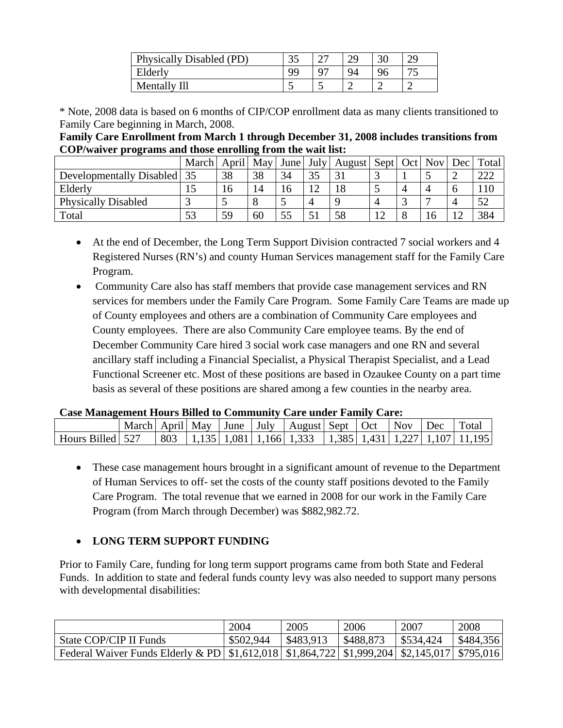| Physically Disabled (PD) |     | $\sim$     | ററ | ററ |
|--------------------------|-----|------------|----|----|
| Elderly                  | ۵a  | $O^{\sim}$ | 94 |    |
| Mentally Ill             | . . | ت          |    |    |

\* Note, 2008 data is based on 6 months of CIP/COP enrollment data as many clients transitioned to Family Care beginning in March, 2008.

**Family Care Enrollment from March 1 through December 31, 2008 includes transitions from COP/waiver programs and those enrolling from the wait list:** 

|                            | March | April | <b>May</b> |    | June   July   August   Sept   Oct |             |   | <b>Nov</b> | Dec | Total |
|----------------------------|-------|-------|------------|----|-----------------------------------|-------------|---|------------|-----|-------|
| Developmentally Disabled   | 35    | 38    | 38         | 34 |                                   |             |   |            |     | 222   |
| Elderly                    | ⊥J    | 16    | 14         | 16 | 18                                |             | 4 |            |     | 110   |
| <b>Physically Disabled</b> |       |       |            |    |                                   | 4           |   |            |     | 50    |
| Total                      | 53    | 59    | 60         | 55 | 58                                | $1^{\circ}$ | 8 |            |     | 384   |

- At the end of December, the Long Term Support Division contracted 7 social workers and 4 Registered Nurses (RN's) and county Human Services management staff for the Family Care Program.
- Community Care also has staff members that provide case management services and RN services for members under the Family Care Program. Some Family Care Teams are made up of County employees and others are a combination of Community Care employees and County employees. There are also Community Care employee teams. By the end of December Community Care hired 3 social work case managers and one RN and several ancillary staff including a Financial Specialist, a Physical Therapist Specialist, and a Lead Functional Screener etc. Most of these positions are based in Ozaukee County on a part time basis as several of these positions are shared among a few counties in the nearby area.

#### **Case Management Hours Billed to Community Care under Family Care:**

|                  | March   April   May |     |  | June   July   August   Sept   Oct                                                  |  | Nov Dec | Total |
|------------------|---------------------|-----|--|------------------------------------------------------------------------------------|--|---------|-------|
| Hours Billed 527 |                     | 803 |  | $\frac{1}{1.135}$   1,081   1,166   1,333   1,385   1,431   1,227   1,107   11,195 |  |         |       |

• These case management hours brought in a significant amount of revenue to the Department of Human Services to off- set the costs of the county staff positions devoted to the Family Care Program. The total revenue that we earned in 2008 for our work in the Family Care Program (from March through December) was \$882,982.72.

# • **LONG TERM SUPPORT FUNDING**

Prior to Family Care, funding for long term support programs came from both State and Federal Funds. In addition to state and federal funds county levy was also needed to support many persons with developmental disabilities:

|                                                                                                       | 2004      | 2005      | 2006      | 2007      | 2008      |
|-------------------------------------------------------------------------------------------------------|-----------|-----------|-----------|-----------|-----------|
| State COP/CIP II Funds                                                                                | \$502,944 | \$483.913 | \$488,873 | \$534,424 | \$484,356 |
| Federal Waiver Funds Elderly & PD   \$1,612,018   \$1,864,722   \$1,999,204   \$2,145,017   \$795,016 |           |           |           |           |           |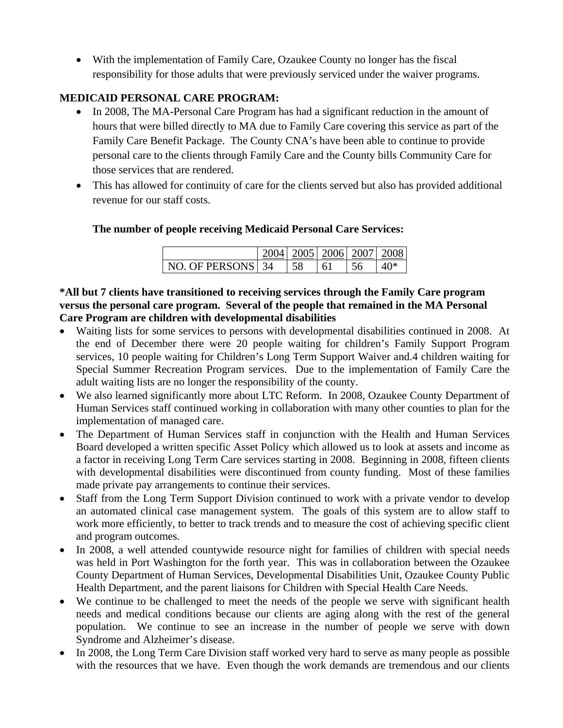• With the implementation of Family Care, Ozaukee County no longer has the fiscal responsibility for those adults that were previously serviced under the waiver programs.

# **MEDICAID PERSONAL CARE PROGRAM:**

- In 2008, The MA-Personal Care Program has had a significant reduction in the amount of hours that were billed directly to MA due to Family Care covering this service as part of the Family Care Benefit Package. The County CNA's have been able to continue to provide personal care to the clients through Family Care and the County bills Community Care for those services that are rendered.
- This has allowed for continuity of care for the clients served but also has provided additional revenue for our staff costs.

# **The number of people receiving Medicaid Personal Care Services:**

|                   | 2004   2005   2006   2007   2008 |    |    |  |
|-------------------|----------------------------------|----|----|--|
| NO. OF PERSONS 34 | 58                               | 61 | ٦h |  |

### **\*All but 7 clients have transitioned to receiving services through the Family Care program versus the personal care program. Several of the people that remained in the MA Personal Care Program are children with developmental disabilities**

- Waiting lists for some services to persons with developmental disabilities continued in 2008. At the end of December there were 20 people waiting for children's Family Support Program services, 10 people waiting for Children's Long Term Support Waiver and.4 children waiting for Special Summer Recreation Program services. Due to the implementation of Family Care the adult waiting lists are no longer the responsibility of the county.
- We also learned significantly more about LTC Reform. In 2008, Ozaukee County Department of Human Services staff continued working in collaboration with many other counties to plan for the implementation of managed care.
- The Department of Human Services staff in conjunction with the Health and Human Services Board developed a written specific Asset Policy which allowed us to look at assets and income as a factor in receiving Long Term Care services starting in 2008. Beginning in 2008, fifteen clients with developmental disabilities were discontinued from county funding. Most of these families made private pay arrangements to continue their services.
- Staff from the Long Term Support Division continued to work with a private vendor to develop an automated clinical case management system. The goals of this system are to allow staff to work more efficiently, to better to track trends and to measure the cost of achieving specific client and program outcomes.
- In 2008, a well attended countywide resource night for families of children with special needs was held in Port Washington for the forth year. This was in collaboration between the Ozaukee County Department of Human Services, Developmental Disabilities Unit, Ozaukee County Public Health Department, and the parent liaisons for Children with Special Health Care Needs.
- We continue to be challenged to meet the needs of the people we serve with significant health needs and medical conditions because our clients are aging along with the rest of the general population. We continue to see an increase in the number of people we serve with down Syndrome and Alzheimer's disease.
- In 2008, the Long Term Care Division staff worked very hard to serve as many people as possible with the resources that we have. Even though the work demands are tremendous and our clients